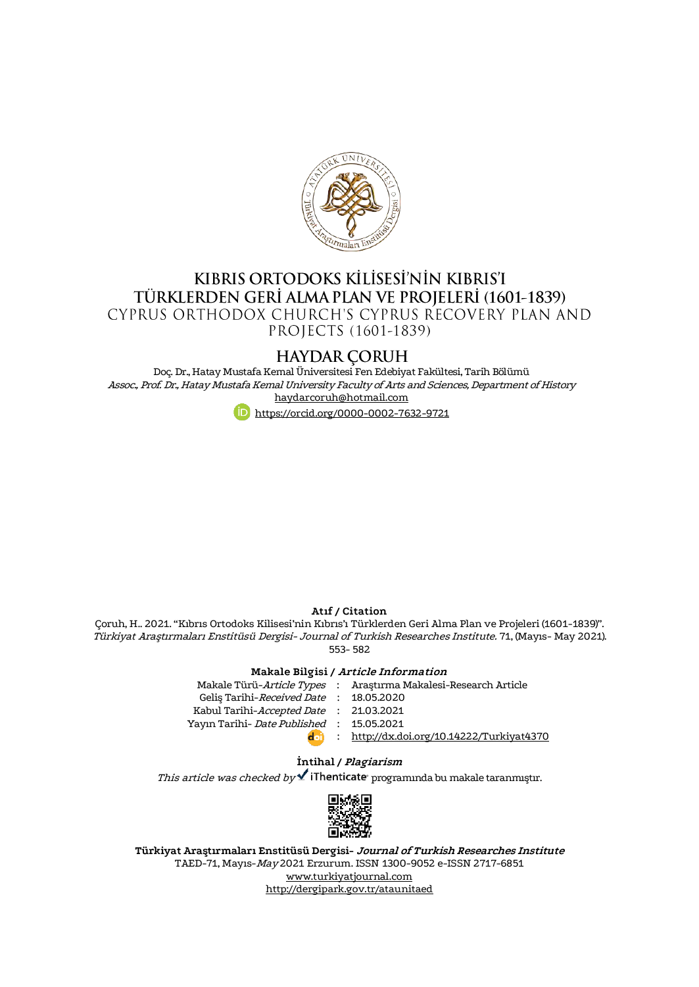

# KIBRIS ORTODOKS KİLİSESİ'NİN KIBRIS'I TÜRKLERDEN GERİ ALMA PLAN VE PROJELERİ (1601-1839) CYPRUS ORTHODOX CHURCH'S CYPRUS RECOVERY PLAN AND PROJECTS (1601-1839)

# **HAYDAR CORUH**

Doç. Dr., Hatay Mustafa Kemal Üniversitesi Fen Edebiyat Fakültesi, Tarih Bölümü Assoc., Prof. Dr., Hatay Mustafa Kemal University Faculty of Arts and Sciences, Department of History [haydarcoruh@hotmail.com](mailto:haydarcoruh@hotmail.com)



### **Atıf / Citation**

Çoruh, H.. 2021. "Kıbrıs Ortodoks Kilisesi'nin Kıbrıs'ı Türklerden Geri Alma Plan ve Projeleri (1601-1839)". Türkiyat Araştırmaları Enstitüsü Dergisi- Journal of Turkish Researches Institute. 71, (Mayıs- May 2021). 553- 582

#### **Makale Bilgisi / Article Information**

|                                          | Makale Türü-Article Types : Araştırma Makalesi-Research Article |
|------------------------------------------|-----------------------------------------------------------------|
| Gelis Tarihi-Received Date: 18.05.2020   |                                                                 |
| Kabul Tarihi-Accepted Date : 21.03.2021  |                                                                 |
| Yayın Tarihi- Date Published: 15.05.2021 |                                                                 |
| doi                                      | : http://dx.doi.org/10.14222/Turkiyat4370                       |
|                                          |                                                                 |

## **İntihal / Plagiarism**

This article was checked by  $\blacktriangle$  iThenticate programında bu makale taranmıştır.



**Türkiyat Araştırmaları Enstitüsü Dergisi- Journal of Turkish Researches Institute** TAED-71, Mayıs-May 2021 Erzurum. ISSN 1300-9052 e-ISSN 2717-6851 [www.turkiyatjournal.com](http://www.turkiyatjournal.com/) <http://dergipark.gov.tr/ataunitaed>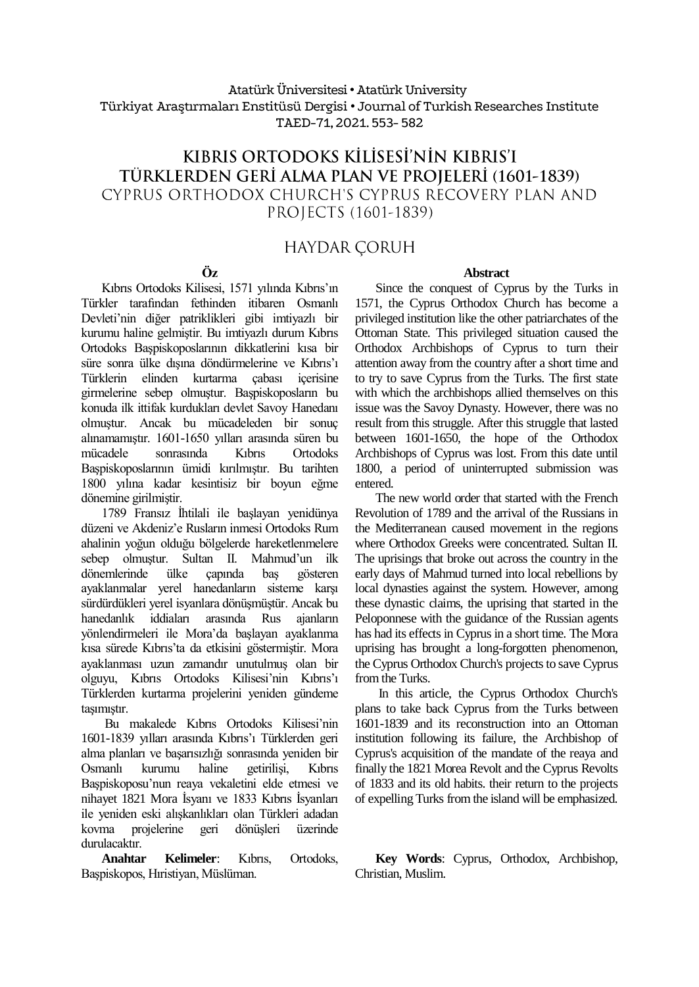# Atatürk Üniversitesi• Atatürk University Türkiyat Araştırmaları Enstitüsü Dergisi • Journal of Turkish Researches Institute TAED-71, 2021. 553- 582

# KIBRIS ORTODOKS KİLİSESİ'NİN KIBRIS'I TÜRKLERDEN GERİ ALMA PLAN VE PROJELERİ (1601-1839) CYPRUS ORTHODOX CHURCH'S CYPRUS RECOVERY PLAN AND PROJECTS (1601-1839)

# **HAYDAR CORUH**

### **Öz**

Kıbrıs Ortodoks Kilisesi, 1571 yılında Kıbrıs'ın Türkler tarafından fethinden itibaren Osmanlı Devleti'nin diğer patriklikleri gibi imtiyazlı bir kurumu haline gelmiştir. Bu imtiyazlı durum Kıbrıs Ortodoks Başpiskoposlarının dikkatlerini kısa bir süre sonra ülke dışına döndürmelerine ve Kıbrıs'ı Türklerin elinden kurtarma çabası içerisine girmelerine sebep olmuştur. Başpiskoposların bu konuda ilk ittifak kurdukları devlet Savoy Hanedanı olmuştur. Ancak bu mücadeleden bir sonuç alınamamıştır. 1601-1650 yılları arasında süren bu mücadele sonrasında Kıbrıs Ortodoks Başpiskoposlarının ümidi kırılmıştır. Bu tarihten 1800 yılına kadar kesintisiz bir boyun eğme dönemine girilmiştir.

1789 Fransız İhtilali ile başlayan yenidünya düzeni ve Akdeniz'e Rusların inmesi Ortodoks Rum ahalinin yoğun olduğu bölgelerde hareketlenmelere sebep olmuştur. Sultan II. Mahmud'un ilk dönemlerinde ülke çapında baş gösteren ayaklanmalar yerel hanedanların sisteme karşı sürdürdükleri yerel isyanlara dönüşmüştür. Ancak bu hanedanlık iddiaları arasında Rus ajanların yönlendirmeleri ile Mora'da başlayan ayaklanma kısa sürede Kıbrıs'ta da etkisini göstermiştir. Mora ayaklanması uzun zamandır unutulmuş olan bir olguyu, Kıbrıs Ortodoks Kilisesi'nin Kıbrıs'ı Türklerden kurtarma projelerini yeniden gündeme taşımıştır.

Bu makalede Kıbrıs Ortodoks Kilisesi'nin 1601-1839 yılları arasında Kıbrıs'ı Türklerden geri alma planları ve başarısızlığı sonrasında yeniden bir Osmanlı kurumu haline getirilişi, Kıbrıs Başpiskoposu'nun reaya vekaletini elde etmesi ve nihayet 1821 Mora İsyanı ve 1833 Kıbrıs İsyanları ile yeniden eski alışkanlıkları olan Türkleri adadan kovma projelerine geri dönüşleri üzerinde durulacaktır.

**Anahtar Kelimeler**: Kıbrıs, Ortodoks, Başpiskopos, Hıristiyan, Müslüman.

Since the conquest of Cyprus by the Turks in 1571, the Cyprus Orthodox Church has become a privileged institution like the other patriarchates of the Ottoman State. This privileged situation caused the Orthodox Archbishops of Cyprus to turn their attention away from the country after a short time and to try to save Cyprus from the Turks. The first state with which the archbishops allied themselves on this issue was the Savoy Dynasty. However, there was no result from this struggle. After this struggle that lasted between 1601-1650, the hope of the Orthodox Archbishops of Cyprus was lost. From this date until 1800, a period of uninterrupted submission was entered.

The new world order that started with the French Revolution of 1789 and the arrival of the Russians in the Mediterranean caused movement in the regions where Orthodox Greeks were concentrated. Sultan II. The uprisings that broke out across the country in the early days of Mahmud turned into local rebellions by local dynasties against the system. However, among these dynastic claims, the uprising that started in the Peloponnese with the guidance of the Russian agents has had its effects in Cyprus in a short time. The Mora uprising has brought a long-forgotten phenomenon, the Cyprus Orthodox Church's projects to save Cyprus from the Turks.

In this article, the Cyprus Orthodox Church's plans to take back Cyprus from the Turks between 1601-1839 and its reconstruction into an Ottoman institution following its failure, the Archbishop of Cyprus's acquisition of the mandate of the reaya and finally the 1821 Morea Revolt and the Cyprus Revolts of 1833 and its old habits. their return to the projects of expelling Turks from the island will be emphasized.

**Key Words**: Cyprus, Orthodox, Archbishop, Christian, Muslim.

#### **Abstract**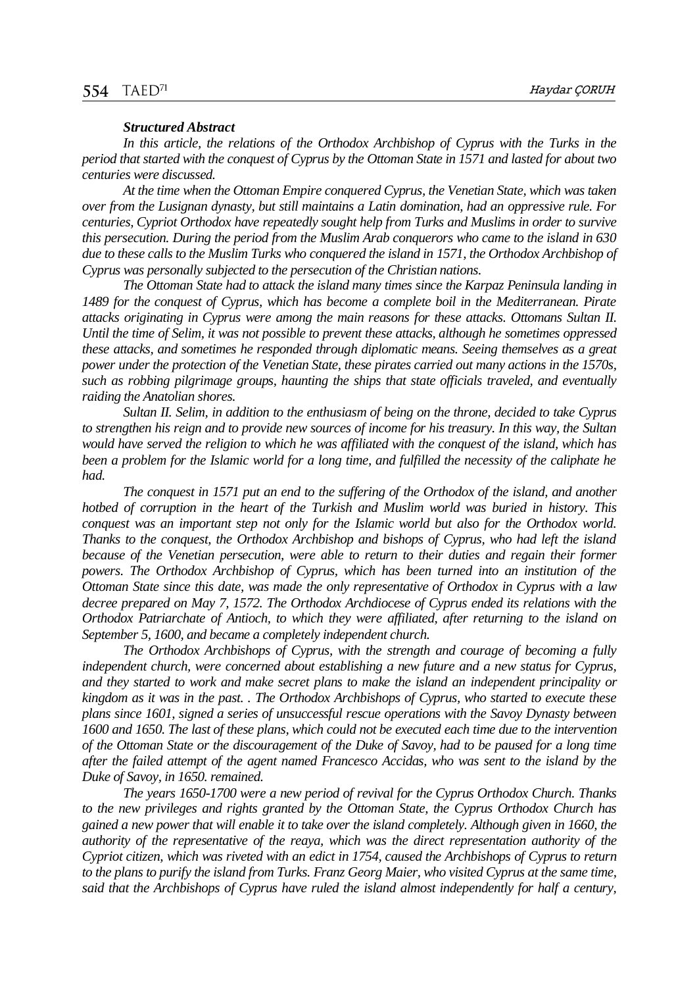#### *Structured Abstract*

In this article, the relations of the Orthodox Archbishop of Cyprus with the Turks in the *period that started with the conquest of Cyprus by the Ottoman State in 1571 and lasted for about two centuries were discussed.*

*At the time when the Ottoman Empire conquered Cyprus, the Venetian State, which was taken over from the Lusignan dynasty, but still maintains a Latin domination, had an oppressive rule. For centuries, Cypriot Orthodox have repeatedly sought help from Turks and Muslims in order to survive this persecution. During the period from the Muslim Arab conquerors who came to the island in 630 due to these calls to the Muslim Turks who conquered the island in 1571, the Orthodox Archbishop of Cyprus was personally subjected to the persecution of the Christian nations.*

*The Ottoman State had to attack the island many times since the Karpaz Peninsula landing in 1489 for the conquest of Cyprus, which has become a complete boil in the Mediterranean. Pirate attacks originating in Cyprus were among the main reasons for these attacks. Ottomans Sultan II. Until the time of Selim, it was not possible to prevent these attacks, although he sometimes oppressed these attacks, and sometimes he responded through diplomatic means. Seeing themselves as a great power under the protection of the Venetian State, these pirates carried out many actions in the 1570s, such as robbing pilgrimage groups, haunting the ships that state officials traveled, and eventually raiding the Anatolian shores.*

*Sultan II. Selim, in addition to the enthusiasm of being on the throne, decided to take Cyprus to strengthen his reign and to provide new sources of income for his treasury. In this way, the Sultan would have served the religion to which he was affiliated with the conquest of the island, which has been a problem for the Islamic world for a long time, and fulfilled the necessity of the caliphate he had.*

*The conquest in 1571 put an end to the suffering of the Orthodox of the island, and another hotbed of corruption in the heart of the Turkish and Muslim world was buried in history. This conquest was an important step not only for the Islamic world but also for the Orthodox world. Thanks to the conquest, the Orthodox Archbishop and bishops of Cyprus, who had left the island because of the Venetian persecution, were able to return to their duties and regain their former powers. The Orthodox Archbishop of Cyprus, which has been turned into an institution of the Ottoman State since this date, was made the only representative of Orthodox in Cyprus with a law decree prepared on May 7, 1572. The Orthodox Archdiocese of Cyprus ended its relations with the Orthodox Patriarchate of Antioch, to which they were affiliated, after returning to the island on September 5, 1600, and became a completely independent church.*

*The Orthodox Archbishops of Cyprus, with the strength and courage of becoming a fully independent church, were concerned about establishing a new future and a new status for Cyprus, and they started to work and make secret plans to make the island an independent principality or kingdom as it was in the past. . The Orthodox Archbishops of Cyprus, who started to execute these plans since 1601, signed a series of unsuccessful rescue operations with the Savoy Dynasty between 1600 and 1650. The last of these plans, which could not be executed each time due to the intervention of the Ottoman State or the discouragement of the Duke of Savoy, had to be paused for a long time after the failed attempt of the agent named Francesco Accidas, who was sent to the island by the Duke of Savoy, in 1650. remained.*

*The years 1650-1700 were a new period of revival for the Cyprus Orthodox Church. Thanks to the new privileges and rights granted by the Ottoman State, the Cyprus Orthodox Church has gained a new power that will enable it to take over the island completely. Although given in 1660, the authority of the representative of the reaya, which was the direct representation authority of the Cypriot citizen, which was riveted with an edict in 1754, caused the Archbishops of Cyprus to return to the plans to purify the island from Turks. Franz Georg Maier, who visited Cyprus at the same time, said that the Archbishops of Cyprus have ruled the island almost independently for half a century,*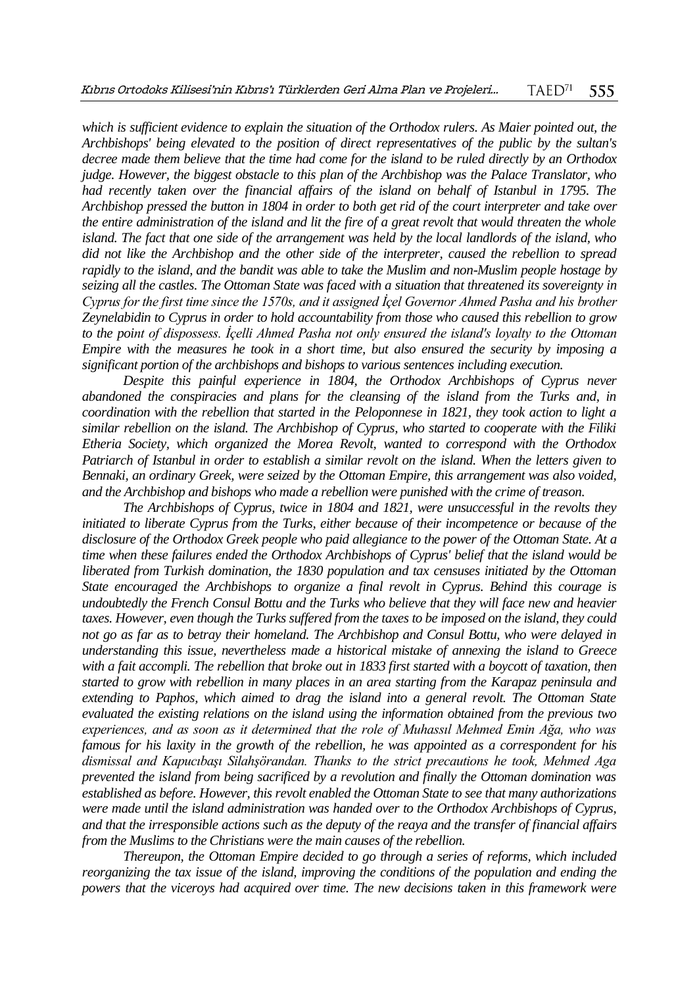*which is sufficient evidence to explain the situation of the Orthodox rulers. As Maier pointed out, the Archbishops' being elevated to the position of direct representatives of the public by the sultan's decree made them believe that the time had come for the island to be ruled directly by an Orthodox judge. However, the biggest obstacle to this plan of the Archbishop was the Palace Translator, who*  had recently taken over the financial affairs of the island on behalf of Istanbul in 1795. The *Archbishop pressed the button in 1804 in order to both get rid of the court interpreter and take over the entire administration of the island and lit the fire of a great revolt that would threaten the whole island. The fact that one side of the arrangement was held by the local landlords of the island, who did not like the Archbishop and the other side of the interpreter, caused the rebellion to spread rapidly to the island, and the bandit was able to take the Muslim and non-Muslim people hostage by seizing all the castles. The Ottoman State was faced with a situation that threatened its sovereignty in Cyprus for the first time since the 1570s, and it assigned İçel Governor Ahmed Pasha and his brother Zeynelabidin to Cyprus in order to hold accountability from those who caused this rebellion to grow to the point of dispossess. İçelli Ahmed Pasha not only ensured the island's loyalty to the Ottoman Empire with the measures he took in a short time, but also ensured the security by imposing a significant portion of the archbishops and bishops to various sentences including execution.*

*Despite this painful experience in 1804, the Orthodox Archbishops of Cyprus never abandoned the conspiracies and plans for the cleansing of the island from the Turks and, in coordination with the rebellion that started in the Peloponnese in 1821, they took action to light a similar rebellion on the island. The Archbishop of Cyprus, who started to cooperate with the Filiki Etheria Society, which organized the Morea Revolt, wanted to correspond with the Orthodox Patriarch of Istanbul in order to establish a similar revolt on the island. When the letters given to Bennaki, an ordinary Greek, were seized by the Ottoman Empire, this arrangement was also voided, and the Archbishop and bishops who made a rebellion were punished with the crime of treason.*

*The Archbishops of Cyprus, twice in 1804 and 1821, were unsuccessful in the revolts they initiated to liberate Cyprus from the Turks, either because of their incompetence or because of the disclosure of the Orthodox Greek people who paid allegiance to the power of the Ottoman State. At a time when these failures ended the Orthodox Archbishops of Cyprus' belief that the island would be liberated from Turkish domination, the 1830 population and tax censuses initiated by the Ottoman State encouraged the Archbishops to organize a final revolt in Cyprus. Behind this courage is undoubtedly the French Consul Bottu and the Turks who believe that they will face new and heavier taxes. However, even though the Turks suffered from the taxes to be imposed on the island, they could not go as far as to betray their homeland. The Archbishop and Consul Bottu, who were delayed in understanding this issue, nevertheless made a historical mistake of annexing the island to Greece with a fait accompli. The rebellion that broke out in 1833 first started with a boycott of taxation, then started to grow with rebellion in many places in an area starting from the Karapaz peninsula and extending to Paphos, which aimed to drag the island into a general revolt. The Ottoman State evaluated the existing relations on the island using the information obtained from the previous two experiences, and as soon as it determined that the role of Muhassıl Mehmed Emin Ağa, who was famous for his laxity in the growth of the rebellion, he was appointed as a correspondent for his dismissal and Kapucıbaşı Silahşörandan. Thanks to the strict precautions he took, Mehmed Aga prevented the island from being sacrificed by a revolution and finally the Ottoman domination was established as before. However, this revolt enabled the Ottoman State to see that many authorizations were made until the island administration was handed over to the Orthodox Archbishops of Cyprus, and that the irresponsible actions such as the deputy of the reaya and the transfer of financial affairs from the Muslims to the Christians were the main causes of the rebellion.*

*Thereupon, the Ottoman Empire decided to go through a series of reforms, which included reorganizing the tax issue of the island, improving the conditions of the population and ending the powers that the viceroys had acquired over time. The new decisions taken in this framework were*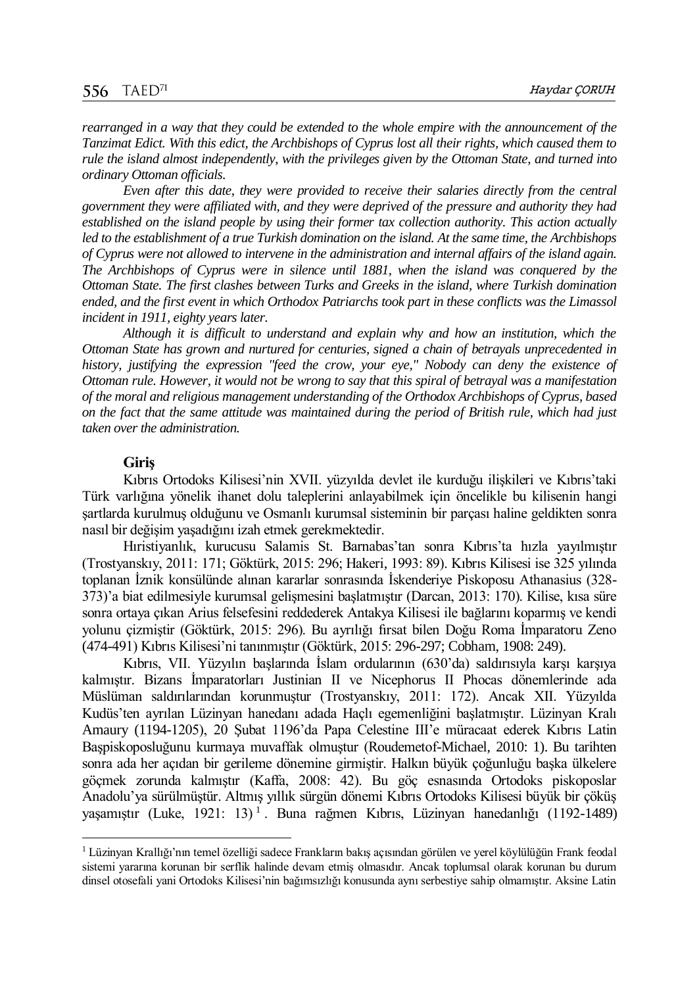*rearranged in a way that they could be extended to the whole empire with the announcement of the Tanzimat Edict. With this edict, the Archbishops of Cyprus lost all their rights, which caused them to rule the island almost independently, with the privileges given by the Ottoman State, and turned into ordinary Ottoman officials.*

*Even after this date, they were provided to receive their salaries directly from the central government they were affiliated with, and they were deprived of the pressure and authority they had established on the island people by using their former tax collection authority. This action actually led to the establishment of a true Turkish domination on the island. At the same time, the Archbishops of Cyprus were not allowed to intervene in the administration and internal affairs of the island again. The Archbishops of Cyprus were in silence until 1881, when the island was conquered by the Ottoman State. The first clashes between Turks and Greeks in the island, where Turkish domination ended, and the first event in which Orthodox Patriarchs took part in these conflicts was the Limassol incident in 1911, eighty years later.*

*Although it is difficult to understand and explain why and how an institution, which the Ottoman State has grown and nurtured for centuries, signed a chain of betrayals unprecedented in history, justifying the expression "feed the crow, your eye," Nobody can deny the existence of Ottoman rule. However, it would not be wrong to say that this spiral of betrayal was a manifestation of the moral and religious management understanding of the Orthodox Archbishops of Cyprus, based on the fact that the same attitude was maintained during the period of British rule, which had just taken over the administration.*

### **Giriş**

 $\overline{a}$ 

Kıbrıs Ortodoks Kilisesi'nin XVII. yüzyılda devlet ile kurduğu ilişkileri ve Kıbrıs'taki Türk varlığına yönelik ihanet dolu taleplerini anlayabilmek için öncelikle bu kilisenin hangi şartlarda kurulmuş olduğunu ve Osmanlı kurumsal sisteminin bir parçası haline geldikten sonra nasıl bir değişim yaşadığını izah etmek gerekmektedir.

Hıristiyanlık, kurucusu Salamis St. Barnabas'tan sonra Kıbrıs'ta hızla yayılmıştır (Trostyanskıy, 2011: 171; Göktürk, 2015: 296; Hakeri*,* 1993: 89). Kıbrıs Kilisesi ise 325 yılında toplanan İznik konsülünde alınan kararlar sonrasında İskenderiye Piskoposu Athanasius (328- 373)'a biat edilmesiyle kurumsal gelişmesini başlatmıştır (Darcan, 2013: 170). Kilise, kısa süre sonra ortaya çıkan Arius felsefesini reddederek Antakya Kilisesi ile bağlarını koparmış ve kendi yolunu çizmiştir (Göktürk, 2015: 296). Bu ayrılığı fırsat bilen Doğu Roma İmparatoru Zeno (474-491) Kıbrıs Kilisesi'ni tanınmıştır (Göktürk, 2015: 296-297; Cobham, 1908: 249).

Kıbrıs, VII. Yüzyılın başlarında İslam ordularının (630'da) saldırısıyla karşı karşıya kalmıştır. Bizans İmparatorları Justinian II ve Nicephorus II Phocas dönemlerinde ada Müslüman saldırılarından korunmuştur (Trostyanskıy, 2011: 172). Ancak XII. Yüzyılda Kudüs'ten ayrılan Lüzinyan hanedanı adada Haçlı egemenliğini başlatmıştır. Lüzinyan Kralı Amaury (1194-1205), 20 Şubat 1196'da Papa Celestine III'e müracaat ederek Kıbrıs Latin Başpiskoposluğunu kurmaya muvaffak olmuştur (Roudemetof-Michael, 2010: 1). Bu tarihten sonra ada her açıdan bir gerileme dönemine girmiştir. Halkın büyük çoğunluğu başka ülkelere göçmek zorunda kalmıştır (Kaffa, 2008: 42). Bu göç esnasında Ortodoks piskoposlar Anadolu'ya sürülmüştür. Altmış yıllık sürgün dönemi Kıbrıs Ortodoks Kilisesi büyük bir çöküş yaşamıştır (Luke, 1921: 13)<sup>1</sup>. Buna rağmen Kıbrıs, Lüzinyan hanedanlığı (1192-1489)

<sup>1</sup> Lüzinyan Krallığı'nın temel özelliği sadece Frankların bakış açısından görülen ve yerel köylülüğün Frank feodal sistemi yararına korunan bir serflik halinde devam etmiş olmasıdır. Ancak toplumsal olarak korunan bu durum dinsel otosefali yani Ortodoks Kilisesi'nin bağımsızlığı konusunda aynı serbestiye sahip olmamıştır. Aksine Latin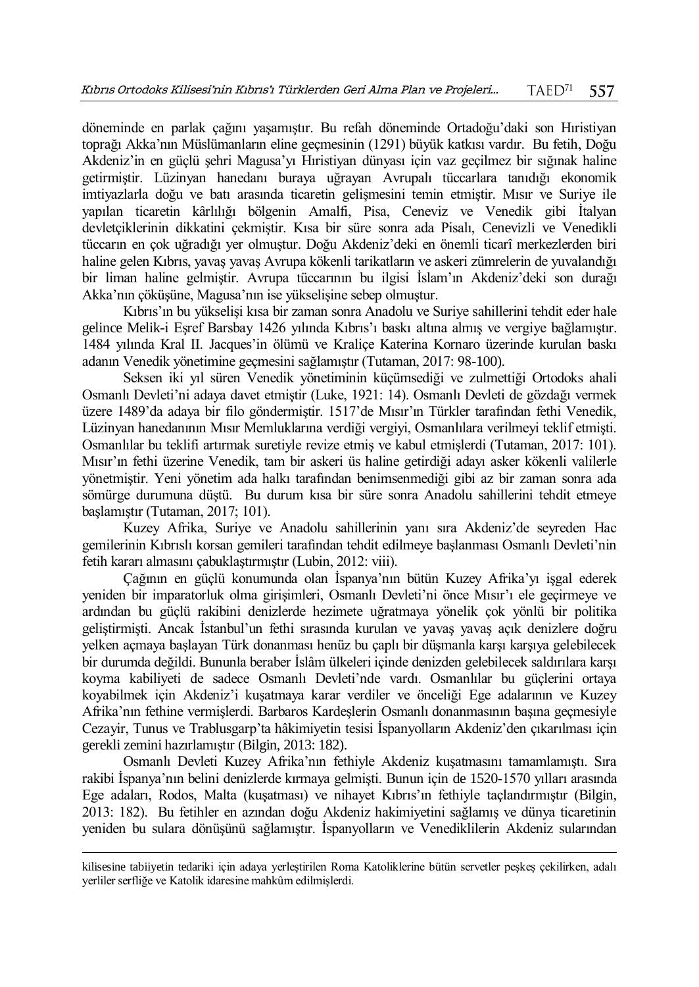döneminde en parlak çağını yaşamıştır. Bu refah döneminde Ortadoğu'daki son Hıristiyan toprağı Akka'nın Müslümanların eline geçmesinin (1291) büyük katkısı vardır. Bu fetih, Doğu Akdeniz'in en güçlü şehri Magusa'yı Hıristiyan dünyası için vaz geçilmez bir sığınak haline getirmiştir. Lüzinyan hanedanı buraya uğrayan Avrupalı tüccarlara tanıdığı ekonomik imtiyazlarla doğu ve batı arasında ticaretin gelişmesini temin etmiştir. Mısır ve Suriye ile yapılan ticaretin kârlılığı bölgenin Amalfi, Pisa, Ceneviz ve Venedik gibi İtalyan devletçiklerinin dikkatini çekmiştir. Kısa bir süre sonra ada Pisalı, Cenevizli ve Venedikli tüccarın en çok uğradığı yer olmuştur. Doğu Akdeniz'deki en önemli ticarî merkezlerden biri haline gelen Kıbrıs, yavaş yavaş Avrupa kökenli tarikatların ve askeri zümrelerin de yuvalandığı bir liman haline gelmiştir. Avrupa tüccarının bu ilgisi İslam'ın Akdeniz'deki son durağı Akka'nın çöküşüne, Magusa'nın ise yükselişine sebep olmuştur.

Kıbrıs'ın bu yükselişi kısa bir zaman sonra Anadolu ve Suriye sahillerini tehdit eder hale gelince Melik-i Eşref Barsbay 1426 yılında Kıbrıs'ı baskı altına almış ve vergiye bağlamıştır. 1484 yılında Kral II. Jacques'in ölümü ve Kraliçe Katerina Kornaro üzerinde kurulan baskı adanın Venedik yönetimine geçmesini sağlamıştır (Tutaman, 2017: 98-100).

Seksen iki yıl süren Venedik yönetiminin küçümsediği ve zulmettiği Ortodoks ahali Osmanlı Devleti'ni adaya davet etmiştir (Luke, 1921: 14). Osmanlı Devleti de gözdağı vermek üzere 1489'da adaya bir filo göndermiştir. 1517'de Mısır'ın Türkler tarafından fethi Venedik, Lüzinyan hanedanının Mısır Memluklarına verdiği vergiyi, Osmanlılara verilmeyi teklif etmişti. Osmanlılar bu teklifi artırmak suretiyle revize etmiş ve kabul etmişlerdi (Tutaman, 2017: 101). Mısır'ın fethi üzerine Venedik, tam bir askeri üs haline getirdiği adayı asker kökenli valilerle yönetmiştir. Yeni yönetim ada halkı tarafından benimsenmediği gibi az bir zaman sonra ada sömürge durumuna düştü. Bu durum kısa bir süre sonra Anadolu sahillerini tehdit etmeye başlamıştır (Tutaman, 2017; 101).

Kuzey Afrika, Suriye ve Anadolu sahillerinin yanı sıra Akdeniz'de seyreden Hac gemilerinin Kıbrıslı korsan gemileri tarafından tehdit edilmeye başlanması Osmanlı Devleti'nin fetih kararı almasını çabuklaştırmıştır (Lubin, 2012: viii).

Çağının en güçlü konumunda olan İspanya'nın bütün Kuzey Afrika'yı işgal ederek yeniden bir imparatorluk olma girişimleri, Osmanlı Devleti'ni önce Mısır'ı ele geçirmeye ve ardından bu güçlü rakibini denizlerde hezimete uğratmaya yönelik çok yönlü bir politika geliştirmişti. Ancak İstanbul'un fethi sırasında kurulan ve yavaş yavaş açık denizlere doğru yelken açmaya başlayan Türk donanması henüz bu çaplı bir düşmanla karşı karşıya gelebilecek bir durumda değildi. Bununla beraber İslâm ülkeleri içinde denizden gelebilecek saldırılara karşı koyma kabiliyeti de sadece Osmanlı Devleti'nde vardı. Osmanlılar bu güçlerini ortaya koyabilmek için Akdeniz'i kuşatmaya karar verdiler ve önceliği Ege adalarının ve Kuzey Afrika'nın fethine vermişlerdi. Barbaros Kardeşlerin Osmanlı donanmasının başına geçmesiyle Cezayir, Tunus ve Trablusgarp'ta hâkimiyetin tesisi İspanyolların Akdeniz'den çıkarılması için gerekli zemini hazırlamıştır (Bilgin, 2013: 182).

Osmanlı Devleti Kuzey Afrika'nın fethiyle Akdeniz kuşatmasını tamamlamıştı. Sıra rakibi İspanya'nın belini denizlerde kırmaya gelmişti. Bunun için de 1520-1570 yılları arasında Ege adaları, Rodos, Malta (kuşatması) ve nihayet Kıbrıs'ın fethiyle taçlandırmıştır (Bilgin, 2013: 182). Bu fetihler en azından doğu Akdeniz hakimiyetini sağlamış ve dünya ticaretinin yeniden bu sulara dönüşünü sağlamıştır. İspanyolların ve Venediklilerin Akdeniz sularından

 $\overline{a}$ 

kilisesine tabiiyetin tedariki için adaya yerleştirilen Roma Katoliklerine bütün servetler peşkeş çekilirken, adalı yerliler serfliğe ve Katolik idaresine mahkûm edilmişlerdi.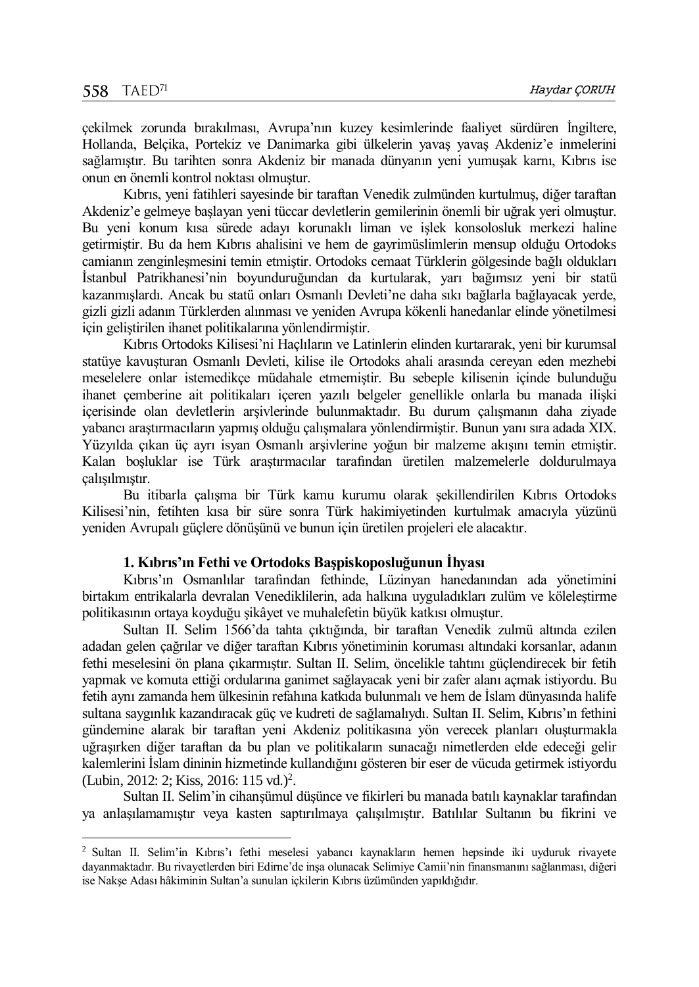$\overline{a}$ 

çekilmek zorunda bırakılması, Avrupa'nın kuzey kesimlerinde faaliyet sürdüren İngiltere, Hollanda, Belçika, Portekiz ve Danimarka gibi ülkelerin yavaş yavaş Akdeniz'e inmelerini sağlamıştır. Bu tarihten sonra Akdeniz bir manada dünyanın yeni yumuşak karnı, Kıbrıs ise onun en önemli kontrol noktası olmuştur.

Kıbrıs, yeni fatihleri sayesinde bir taraftan Venedik zulmünden kurtulmuş, diğer taraftan Akdeniz'e gelmeye başlayan yeni tüccar devletlerin gemilerinin önemli bir uğrak yeri olmuştur. Bu yeni konum kısa sürede adayı korunaklı liman ve işlek konsolosluk merkezi haline getirmiştir. Bu da hem Kıbrıs ahalisini ve hem de gayrimüslimlerin mensup olduğu Ortodoks camianın zenginleşmesini temin etmiştir. Ortodoks cemaat Türklerin gölgesinde bağlı oldukları İstanbul Patrikhanesi'nin boyunduruğundan da kurtularak, yarı bağımsız yeni bir statü kazanmışlardı. Ancak bu statü onları Osmanlı Devleti'ne daha sıkı bağlarla bağlayacak yerde, gizli gizli adanın Türklerden alınması ve yeniden Avrupa kökenli hanedanlar elinde yönetilmesi için geliştirilen ihanet politikalarına yönlendirmiştir.

Kıbrıs Ortodoks Kilisesi'ni Haçlıların ve Latinlerin elinden kurtararak, yeni bir kurumsal statüye kavuşturan Osmanlı Devleti, kilise ile Ortodoks ahali arasında cereyan eden mezhebi meselelere onlar istemedikçe müdahale etmemiştir. Bu sebeple kilisenin içinde bulunduğu ihanet çemberine ait politikaları içeren yazılı belgeler genellikle onlarla bu manada ilişki içerisinde olan devletlerin arşivlerinde bulunmaktadır. Bu durum çalışmanın daha ziyade yabancı araştırmacıların yapmış olduğu çalışmalara yönlendirmiştir. Bunun yanı sıra adada XIX. Yüzyılda çıkan üç ayrı isyan Osmanlı arşivlerine yoğun bir malzeme akışını temin etmiştir. Kalan boşluklar ise Türk araştırmacılar tarafından üretilen malzemelerle doldurulmaya çalışılmıştır.

Bu itibarla çalışma bir Türk kamu kurumu olarak şekillendirilen Kıbrıs Ortodoks Kilisesi'nin, fetihten kısa bir süre sonra Türk hakimiyetinden kurtulmak amacıyla yüzünü yeniden Avrupalı güçlere dönüşünü ve bunun için üretilen projeleri ele alacaktır.

#### **1. Kıbrıs'ın Fethi ve Ortodoks Başpiskoposluğunun İhyası**

Kıbrıs'ın Osmanlılar tarafından fethinde, Lüzinyan hanedanından ada yönetimini birtakım entrikalarla devralan Venediklilerin, ada halkına uyguladıkları zulüm ve köleleştirme politikasının ortaya koyduğu şikâyet ve muhalefetin büyük katkısı olmuştur.

Sultan II. Selim 1566'da tahta çıktığında, bir taraftan Venedik zulmü altında ezilen adadan gelen çağrılar ve diğer taraftan Kıbrıs yönetiminin koruması altındaki korsanlar, adanın fethi meselesini ön plana çıkarmıştır. Sultan II. Selim, öncelikle tahtını güçlendirecek bir fetih yapmak ve komuta ettiği ordularına ganimet sağlayacak yeni bir zafer alanı açmak istiyordu. Bu fetih aynı zamanda hem ülkesinin refahına katkıda bulunmalı ve hem de İslam dünyasında halife sultana saygınlık kazandıracak güç ve kudreti de sağlamalıydı. Sultan II. Selim, Kıbrıs'ın fethini gündemine alarak bir taraftan yeni Akdeniz politikasına yön verecek planları oluşturmakla uğraşırken diğer taraftan da bu plan ve politikaların sunacağı nimetlerden elde edeceği gelir kalemlerini İslam dininin hizmetinde kullandığını gösteren bir eser de vücuda getirmek istiyordu (Lubin, 2012: 2; Kiss, 2016: 115 vd.)<sup>2</sup>.

Sultan II. Selim'in cihanşümul düşünce ve fikirleri bu manada batılı kaynaklar tarafından ya anlaşılamamıştır veya kasten saptırılmaya çalışılmıştır. Batılılar Sultanın bu fikrini ve

<sup>2</sup> Sultan II. Selim'in Kıbrıs'ı fethi meselesi yabancı kaynakların hemen hepsinde iki uyduruk rivayete dayanmaktadır. Bu rivayetlerden biri Edirne'de inşa olunacak Selimiye Camii'nin finansmanını sağlanması, diğeri ise Nakşe Adası hâkiminin Sultan'a sunulan içkilerin Kıbrıs üzümünden yapıldığıdır.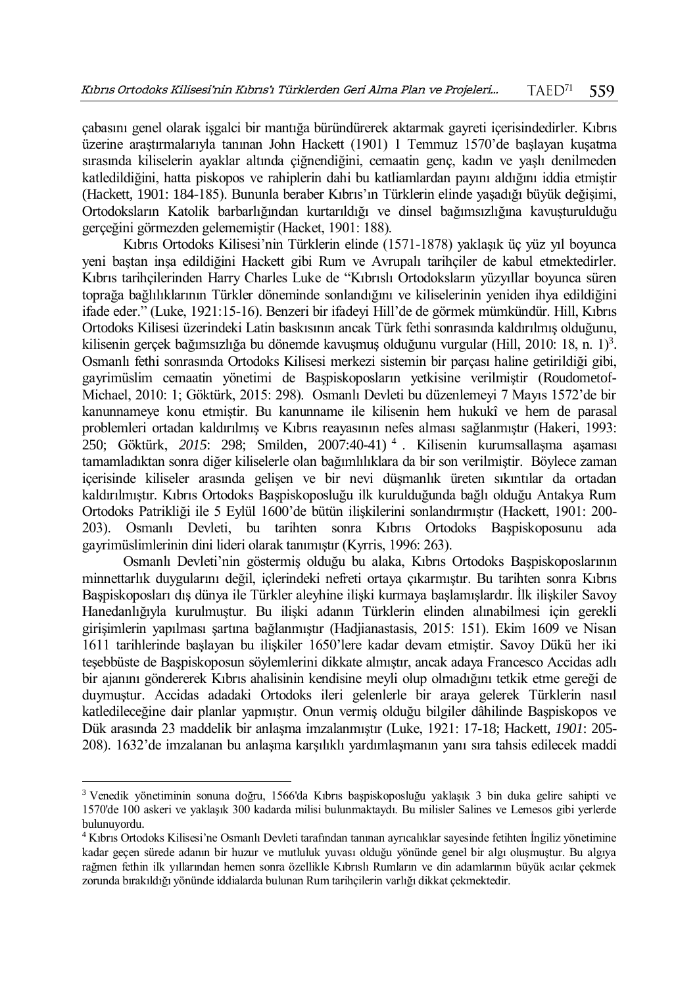çabasını genel olarak işgalci bir mantığa büründürerek aktarmak gayreti içerisindedirler. Kıbrıs üzerine araştırmalarıyla tanınan John Hackett (1901) 1 Temmuz 1570'de başlayan kuşatma sırasında kiliselerin ayaklar altında çiğnendiğini, cemaatin genç, kadın ve yaşlı denilmeden katledildiğini, hatta piskopos ve rahiplerin dahi bu katliamlardan payını aldığını iddia etmiştir (Hackett, 1901: 184-185). Bununla beraber Kıbrıs'ın Türklerin elinde yaşadığı büyük değişimi, Ortodoksların Katolik barbarlığından kurtarıldığı ve dinsel bağımsızlığına kavuşturulduğu gerçeğini görmezden gelememiştir (Hacket, 1901: 188).

Kıbrıs Ortodoks Kilisesi'nin Türklerin elinde (1571-1878) yaklaşık üç yüz yıl boyunca yeni baştan inşa edildiğini Hackett gibi Rum ve Avrupalı tarihçiler de kabul etmektedirler. Kıbrıs tarihçilerinden Harry Charles Luke de "Kıbrıslı Ortodoksların yüzyıllar boyunca süren toprağa bağlılıklarının Türkler döneminde sonlandığını ve kiliselerinin yeniden ihya edildiğini ifade eder." (Luke, 1921:15-16). Benzeri bir ifadeyi Hill'de de görmek mümkündür. Hill, Kıbrıs Ortodoks Kilisesi üzerindeki Latin baskısının ancak Türk fethi sonrasında kaldırılmış olduğunu, kilisenin gerçek bağımsızlığa bu dönemde kavuşmuş olduğunu vurgular (Hill, 2010: 18, n. 1)<sup>3</sup>. Osmanlı fethi sonrasında Ortodoks Kilisesi merkezi sistemin bir parçası haline getirildiği gibi, gayrimüslim cemaatin yönetimi de Başpiskoposların yetkisine verilmiştir (Roudometof-Michael, 2010: 1; Göktürk, 2015: 298). Osmanlı Devleti bu düzenlemeyi 7 Mayıs 1572'de bir kanunnameye konu etmiştir. Bu kanunname ile kilisenin hem hukukî ve hem de parasal problemleri ortadan kaldırılmış ve Kıbrıs reayasının nefes alması sağlanmıştır (Hakeri, 1993: 250; Göktürk, *2015*: 298; Smilden, 2007:40-41) <sup>4</sup> . Kilisenin kurumsallaşma aşaması tamamladıktan sonra diğer kiliselerle olan bağımlılıklara da bir son verilmiştir. Böylece zaman içerisinde kiliseler arasında gelişen ve bir nevi düşmanlık üreten sıkıntılar da ortadan kaldırılmıştır. Kıbrıs Ortodoks Başpiskoposluğu ilk kurulduğunda bağlı olduğu Antakya Rum Ortodoks Patrikliği ile 5 Eylül 1600'de bütün ilişkilerini sonlandırmıştır (Hackett, 1901: 200- 203). Osmanlı Devleti, bu tarihten sonra Kıbrıs Ortodoks Başpiskoposunu ada gayrimüslimlerinin dini lideri olarak tanımıştır (Kyrris, 1996: 263).

Osmanlı Devleti'nin göstermiş olduğu bu alaka, Kıbrıs Ortodoks Başpiskoposlarının minnettarlık duygularını değil, içlerindeki nefreti ortaya çıkarmıştır. Bu tarihten sonra Kıbrıs Başpiskoposları dış dünya ile Türkler aleyhine ilişki kurmaya başlamışlardır. İlk ilişkiler Savoy Hanedanlığıyla kurulmuştur. Bu ilişki adanın Türklerin elinden alınabilmesi için gerekli girişimlerin yapılması şartına bağlanmıştır (Hadjianastasis, 2015: 151). Ekim 1609 ve Nisan 1611 tarihlerinde başlayan bu ilişkiler 1650'lere kadar devam etmiştir. Savoy Dükü her iki teşebbüste de Başpiskoposun söylemlerini dikkate almıştır, ancak adaya Francesco Accidas adlı bir ajanını göndererek Kıbrıs ahalisinin kendisine meyli olup olmadığını tetkik etme gereği de duymuştur. Accidas adadaki Ortodoks ileri gelenlerle bir araya gelerek Türklerin nasıl katledileceğine dair planlar yapmıştır. Onun vermiş olduğu bilgiler dâhilinde Başpiskopos ve Dük arasında 23 maddelik bir anlaşma imzalanmıştır (Luke, 1921: 17-18; Hackett, *1901*: 205- 208). 1632'de imzalanan bu anlaşma karşılıklı yardımlaşmanın yanı sıra tahsis edilecek maddi

 $\overline{a}$ 

<sup>3</sup> Venedik yönetiminin sonuna doğru, 1566'da Kıbrıs başpiskoposluğu yaklaşık 3 bin duka gelire sahipti ve 1570'de 100 askeri ve yaklaşık 300 kadarda milisi bulunmaktaydı. Bu milisler Salines ve Lemesos gibi yerlerde bulunuyordu.

<sup>4</sup> Kıbrıs Ortodoks Kilisesi'ne Osmanlı Devleti tarafından tanınan ayrıcalıklar sayesinde fetihten İngiliz yönetimine kadar geçen sürede adanın bir huzur ve mutluluk yuvası olduğu yönünde genel bir algı oluşmuştur. Bu algıya rağmen fethin ilk yıllarından hemen sonra özellikle Kıbrıslı Rumların ve din adamlarının büyük acılar çekmek zorunda bırakıldığı yönünde iddialarda bulunan Rum tarihçilerin varlığı dikkat çekmektedir.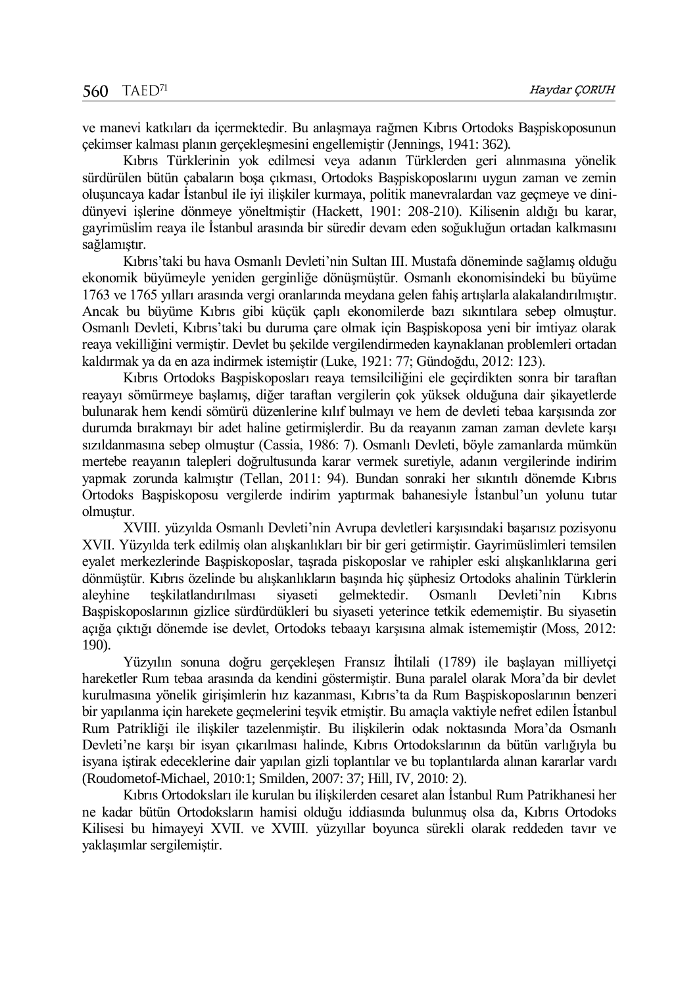ve manevi katkıları da içermektedir. Bu anlaşmaya rağmen Kıbrıs Ortodoks Başpiskoposunun çekimser kalması planın gerçekleşmesini engellemiştir (Jennings, 1941: 362).

Kıbrıs Türklerinin yok edilmesi veya adanın Türklerden geri alınmasına yönelik sürdürülen bütün çabaların boşa çıkması, Ortodoks Başpiskoposlarını uygun zaman ve zemin oluşuncaya kadar İstanbul ile iyi ilişkiler kurmaya, politik manevralardan vaz geçmeye ve dinidünyevi işlerine dönmeye yöneltmiştir (Hackett, 1901: 208-210). Kilisenin aldığı bu karar, gayrimüslim reaya ile İstanbul arasında bir süredir devam eden soğukluğun ortadan kalkmasını sağlamıştır.

Kıbrıs'taki bu hava Osmanlı Devleti'nin Sultan III. Mustafa döneminde sağlamış olduğu ekonomik büyümeyle yeniden gerginliğe dönüşmüştür. Osmanlı ekonomisindeki bu büyüme 1763 ve 1765 yılları arasında vergi oranlarında meydana gelen fahiş artışlarla alakalandırılmıştır. Ancak bu büyüme Kıbrıs gibi küçük çaplı ekonomilerde bazı sıkıntılara sebep olmuştur. Osmanlı Devleti, Kıbrıs'taki bu duruma çare olmak için Başpiskoposa yeni bir imtiyaz olarak reaya vekilliğini vermiştir. Devlet bu şekilde vergilendirmeden kaynaklanan problemleri ortadan kaldırmak ya da en aza indirmek istemiştir (Luke, 1921: 77; Gündoğdu, 2012: 123).

Kıbrıs Ortodoks Başpiskoposları reaya temsilciliğini ele geçirdikten sonra bir taraftan reayayı sömürmeye başlamış, diğer taraftan vergilerin çok yüksek olduğuna dair şikayetlerde bulunarak hem kendi sömürü düzenlerine kılıf bulmayı ve hem de devleti tebaa karşısında zor durumda bırakmayı bir adet haline getirmişlerdir. Bu da reayanın zaman zaman devlete karşı sızıldanmasına sebep olmuştur (Cassia, 1986: 7). Osmanlı Devleti, böyle zamanlarda mümkün mertebe reayanın talepleri doğrultusunda karar vermek suretiyle, adanın vergilerinde indirim yapmak zorunda kalmıştır (Tellan, 2011: 94). Bundan sonraki her sıkıntılı dönemde Kıbrıs Ortodoks Başpiskoposu vergilerde indirim yaptırmak bahanesiyle İstanbul'un yolunu tutar olmuştur.

XVIII. yüzyılda Osmanlı Devleti'nin Avrupa devletleri karşısındaki başarısız pozisyonu XVII. Yüzyılda terk edilmiş olan alışkanlıkları bir bir geri getirmiştir. Gayrimüslimleri temsilen eyalet merkezlerinde Başpiskoposlar, taşrada piskoposlar ve rahipler eski alışkanlıklarına geri dönmüştür. Kıbrıs özelinde bu alışkanlıkların başında hiç şüphesiz Ortodoks ahalinin Türklerin aleyhine teşkilatlandırılması siyaseti gelmektedir. Osmanlı Devleti'nin Kıbrıs Başpiskoposlarının gizlice sürdürdükleri bu siyaseti yeterince tetkik edememiştir. Bu siyasetin açığa çıktığı dönemde ise devlet, Ortodoks tebaayı karşısına almak istememiştir (Moss, 2012: 190).

Yüzyılın sonuna doğru gerçekleşen Fransız İhtilali (1789) ile başlayan milliyetçi hareketler Rum tebaa arasında da kendini göstermiştir. Buna paralel olarak Mora'da bir devlet kurulmasına yönelik girişimlerin hız kazanması, Kıbrıs'ta da Rum Başpiskoposlarının benzeri bir yapılanma için harekete geçmelerini teşvik etmiştir. Bu amaçla vaktiyle nefret edilen İstanbul Rum Patrikliği ile ilişkiler tazelenmiştir. Bu ilişkilerin odak noktasında Mora'da Osmanlı Devleti'ne karşı bir isyan çıkarılması halinde, Kıbrıs Ortodokslarının da bütün varlığıyla bu isyana iştirak edeceklerine dair yapılan gizli toplantılar ve bu toplantılarda alınan kararlar vardı (Roudometof-Michael, 2010:1; Smilden, 2007: 37; Hill, IV, 2010: 2).

Kıbrıs Ortodoksları ile kurulan bu ilişkilerden cesaret alan İstanbul Rum Patrikhanesi her ne kadar bütün Ortodoksların hamisi olduğu iddiasında bulunmuş olsa da, Kıbrıs Ortodoks Kilisesi bu himayeyi XVII. ve XVIII. yüzyıllar boyunca sürekli olarak reddeden tavır ve yaklaşımlar sergilemiştir.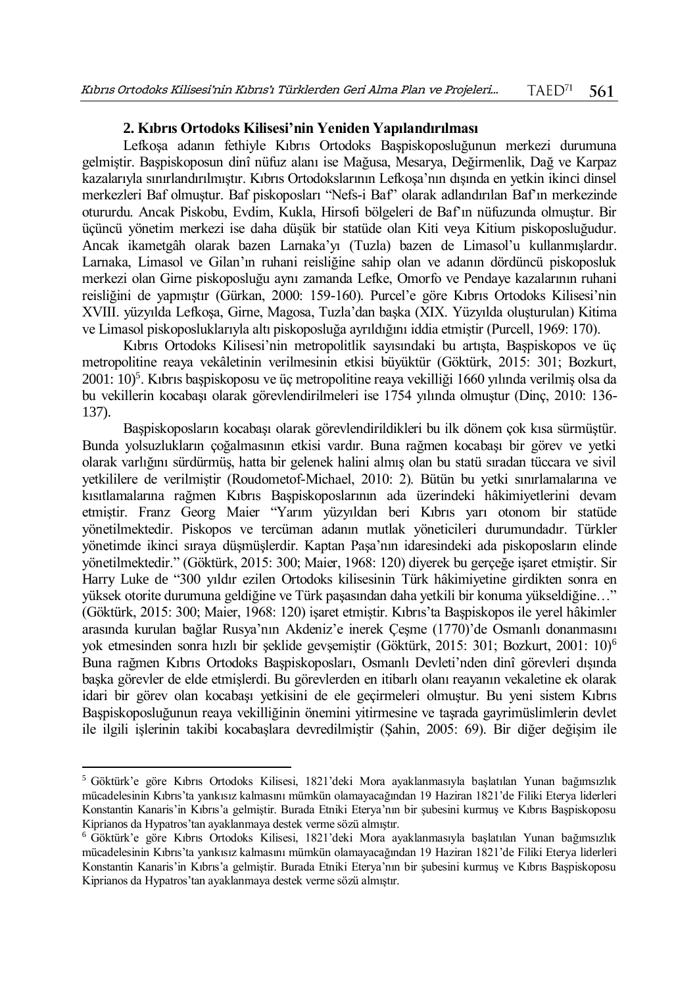## **2. Kıbrıs Ortodoks Kilisesi'nin Yeniden Yapılandırılması**

Lefkoşa adanın fethiyle Kıbrıs Ortodoks Başpiskoposluğunun merkezi durumuna gelmiştir. Başpiskoposun dinî nüfuz alanı ise Mağusa, Mesarya, Değirmenlik, Dağ ve Karpaz kazalarıyla sınırlandırılmıştır. Kıbrıs Ortodokslarının Lefkoşa'nın dışında en yetkin ikinci dinsel merkezleri Baf olmuştur. Baf piskoposları "Nefs-i Baf" olarak adlandırılan Baf'ın merkezinde otururdu. Ancak Piskobu, Evdim, Kukla, Hirsofi bölgeleri de Baf'ın nüfuzunda olmuştur. Bir üçüncü yönetim merkezi ise daha düşük bir statüde olan Kiti veya Kitium piskoposluğudur. Ancak ikametgâh olarak bazen Larnaka'yı (Tuzla) bazen de Limasol'u kullanmışlardır. Larnaka, Limasol ve Gilan'ın ruhani reisliğine sahip olan ve adanın dördüncü piskoposluk merkezi olan Girne piskoposluğu aynı zamanda Lefke, Omorfo ve Pendaye kazalarının ruhani reisliğini de yapmıştır (Gürkan, 2000: 159-160). Purcel'e göre Kıbrıs Ortodoks Kilisesi'nin XVIII. yüzyılda Lefkoşa, Girne, Magosa, Tuzla'dan başka (XIX. Yüzyılda oluşturulan) Kitima ve Limasol piskoposluklarıyla altı piskoposluğa ayrıldığını iddia etmiştir (Purcell, 1969: 170).

Kıbrıs Ortodoks Kilisesi'nin metropolitlik sayısındaki bu artışta, Başpiskopos ve üç metropolitine reaya vekâletinin verilmesinin etkisi büyüktür (Göktürk, 2015: 301; Bozkurt, 2001: 10)<sup>5</sup> . Kıbrıs başpiskoposu ve üç metropolitine reaya vekilliği 1660 yılında verilmiş olsa da bu vekillerin kocabaşı olarak görevlendirilmeleri ise 1754 yılında olmuştur (Dinç, 2010: 136- 137).

Başpiskoposların kocabaşı olarak görevlendirildikleri bu ilk dönem çok kısa sürmüştür. Bunda yolsuzlukların çoğalmasının etkisi vardır. Buna rağmen kocabaşı bir görev ve yetki olarak varlığını sürdürmüş, hatta bir gelenek halini almış olan bu statü sıradan tüccara ve sivil yetkililere de verilmiştir (Roudometof-Michael, 2010: 2). Bütün bu yetki sınırlamalarına ve kısıtlamalarına rağmen Kıbrıs Başpiskoposlarının ada üzerindeki hâkimiyetlerini devam etmiştir. Franz Georg Maier "Yarım yüzyıldan beri Kıbrıs yarı otonom bir statüde yönetilmektedir. Piskopos ve tercüman adanın mutlak yöneticileri durumundadır. Türkler yönetimde ikinci sıraya düşmüşlerdir. Kaptan Paşa'nın idaresindeki ada piskoposların elinde yönetilmektedir." (Göktürk, 2015: 300; Maier, 1968: 120) diyerek bu gerçeğe işaret etmiştir. Sir Harry Luke de "300 yıldır ezilen Ortodoks kilisesinin Türk hâkimiyetine girdikten sonra en yüksek otorite durumuna geldiğine ve Türk paşasından daha yetkili bir konuma yükseldiğine…" (Göktürk, 2015: 300; Maier, 1968: 120) işaret etmiştir. Kıbrıs'ta Başpiskopos ile yerel hâkimler arasında kurulan bağlar Rusya'nın Akdeniz'e inerek Çeşme (1770)'de Osmanlı donanmasını yok etmesinden sonra hızlı bir şeklide gevşemiştir (Göktürk, 2015: 301; Bozkurt, 2001: 10)<sup>6</sup> Buna rağmen Kıbrıs Ortodoks Başpiskoposları, Osmanlı Devleti'nden dinî görevleri dışında başka görevler de elde etmişlerdi. Bu görevlerden en itibarlı olanı reayanın vekaletine ek olarak idari bir görev olan kocabaşı yetkisini de ele geçirmeleri olmuştur. Bu yeni sistem Kıbrıs Başpiskoposluğunun reaya vekilliğinin önemini yitirmesine ve taşrada gayrimüslimlerin devlet ile ilgili işlerinin takibi kocabaşlara devredilmiştir (Şahin, 2005: 69). Bir diğer değişim ile

l

<sup>5</sup> Göktürk'e göre Kıbrıs Ortodoks Kilisesi, 1821'deki Mora ayaklanmasıyla başlatılan Yunan bağımsızlık mücadelesinin Kıbrıs'ta yankısız kalmasını mümkün olamayacağından 19 Haziran 1821'de Filiki Eterya liderleri Konstantin Kanaris'in Kıbrıs'a gelmiştir. Burada Etniki Eterya'nın bir şubesini kurmuş ve Kıbrıs Başpiskoposu Kiprianos da Hypatros'tan ayaklanmaya destek verme sözü almıştır.

<sup>6</sup> Göktürk'e göre Kıbrıs Ortodoks Kilisesi, 1821'deki Mora ayaklanmasıyla başlatılan Yunan bağımsızlık mücadelesinin Kıbrıs'ta yankısız kalmasını mümkün olamayacağından 19 Haziran 1821'de Filiki Eterya liderleri Konstantin Kanaris'in Kıbrıs'a gelmiştir. Burada Etniki Eterya'nın bir şubesini kurmuş ve Kıbrıs Başpiskoposu Kiprianos da Hypatros'tan ayaklanmaya destek verme sözü almıştır.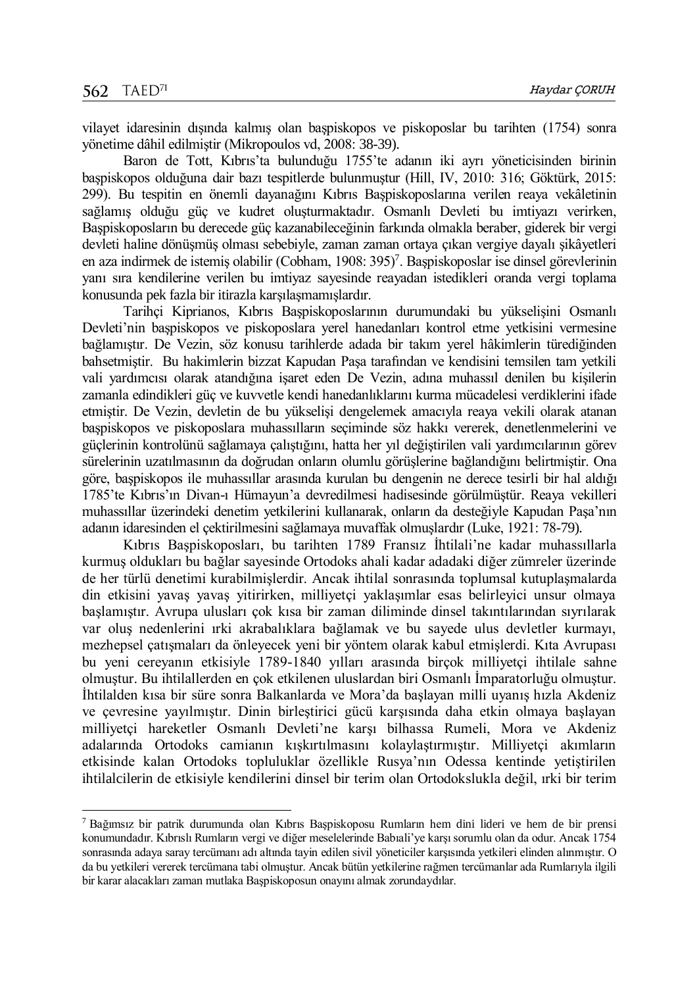$\overline{a}$ 

vilayet idaresinin dışında kalmış olan başpiskopos ve piskoposlar bu tarihten (1754) sonra yönetime dâhil edilmiştir (Mikropoulos vd, 2008: 38-39).

Baron de Tott, Kıbrıs'ta bulunduğu 1755'te adanın iki ayrı yöneticisinden birinin başpiskopos olduğuna dair bazı tespitlerde bulunmuştur (Hill, IV, 2010: 316; Göktürk, 2015: 299). Bu tespitin en önemli dayanağını Kıbrıs Başpiskoposlarına verilen reaya vekâletinin sağlamış olduğu güç ve kudret oluşturmaktadır. Osmanlı Devleti bu imtiyazı verirken, Başpiskoposların bu derecede güç kazanabileceğinin farkında olmakla beraber, giderek bir vergi devleti haline dönüşmüş olması sebebiyle, zaman zaman ortaya çıkan vergiye dayalı şikâyetleri en aza indirmek de istemiş olabilir (Cobham, 1908: 395)<sup>7</sup>. Başpiskoposlar ise dinsel görevlerinin yanı sıra kendilerine verilen bu imtiyaz sayesinde reayadan istedikleri oranda vergi toplama konusunda pek fazla bir itirazla karşılaşmamışlardır.

Tarihçi Kiprianos, Kıbrıs Başpiskoposlarının durumundaki bu yükselişini Osmanlı Devleti'nin başpiskopos ve piskoposlara yerel hanedanları kontrol etme yetkisini vermesine bağlamıştır. De Vezin, söz konusu tarihlerde adada bir takım yerel hâkimlerin türediğinden bahsetmiştir. Bu hakimlerin bizzat Kapudan Paşa tarafından ve kendisini temsilen tam yetkili vali yardımcısı olarak atandığına işaret eden De Vezin, adına muhassıl denilen bu kişilerin zamanla edindikleri güç ve kuvvetle kendi hanedanlıklarını kurma mücadelesi verdiklerini ifade etmiştir. De Vezin, devletin de bu yükselişi dengelemek amacıyla reaya vekili olarak atanan başpiskopos ve piskoposlara muhassılların seçiminde söz hakkı vererek, denetlenmelerini ve güçlerinin kontrolünü sağlamaya çalıştığını, hatta her yıl değiştirilen vali yardımcılarının görev sürelerinin uzatılmasının da doğrudan onların olumlu görüşlerine bağlandığını belirtmiştir. Ona göre, başpiskopos ile muhassıllar arasında kurulan bu dengenin ne derece tesirli bir hal aldığı 1785'te Kıbrıs'ın Divan-ı Hümayun'a devredilmesi hadisesinde görülmüştür. Reaya vekilleri muhassıllar üzerindeki denetim yetkilerini kullanarak, onların da desteğiyle Kapudan Paşa'nın adanın idaresinden el çektirilmesini sağlamaya muvaffak olmuşlardır (Luke, 1921: 78-79).

Kıbrıs Başpiskoposları, bu tarihten 1789 Fransız İhtilali'ne kadar muhassıllarla kurmuş oldukları bu bağlar sayesinde Ortodoks ahali kadar adadaki diğer zümreler üzerinde de her türlü denetimi kurabilmişlerdir. Ancak ihtilal sonrasında toplumsal kutuplaşmalarda din etkisini yavaş yavaş yitirirken, milliyetçi yaklaşımlar esas belirleyici unsur olmaya başlamıştır. Avrupa ulusları çok kısa bir zaman diliminde dinsel takıntılarından sıyrılarak var oluş nedenlerini ırki akrabalıklara bağlamak ve bu sayede ulus devletler kurmayı, mezhepsel çatışmaları da önleyecek yeni bir yöntem olarak kabul etmişlerdi. Kıta Avrupası bu yeni cereyanın etkisiyle 1789-1840 yılları arasında birçok milliyetçi ihtilale sahne olmuştur. Bu ihtilallerden en çok etkilenen uluslardan biri Osmanlı İmparatorluğu olmuştur. İhtilalden kısa bir süre sonra Balkanlarda ve Mora'da başlayan milli uyanış hızla Akdeniz ve çevresine yayılmıştır. Dinin birleştirici gücü karşısında daha etkin olmaya başlayan milliyetçi hareketler Osmanlı Devleti'ne karşı bilhassa Rumeli, Mora ve Akdeniz adalarında Ortodoks camianın kışkırtılmasını kolaylaştırmıştır. Milliyetçi akımların etkisinde kalan Ortodoks topluluklar özellikle Rusya'nın Odessa kentinde yetiştirilen ihtilalcilerin de etkisiyle kendilerini dinsel bir terim olan Ortodokslukla değil, ırki bir terim

<sup>7</sup> Bağımsız bir patrik durumunda olan Kıbrıs Başpiskoposu Rumların hem dini lideri ve hem de bir prensi konumundadır. Kıbrıslı Rumların vergi ve diğer meselelerinde Babıali'ye karşı sorumlu olan da odur. Ancak 1754 sonrasında adaya saray tercümanı adı altında tayin edilen sivil yöneticiler karşısında yetkileri elinden alınmıştır. O da bu yetkileri vererek tercümana tabi olmuştur. Ancak bütün yetkilerine rağmen tercümanlar ada Rumlarıyla ilgili bir karar alacakları zaman mutlaka Başpiskoposun onayını almak zorundaydılar.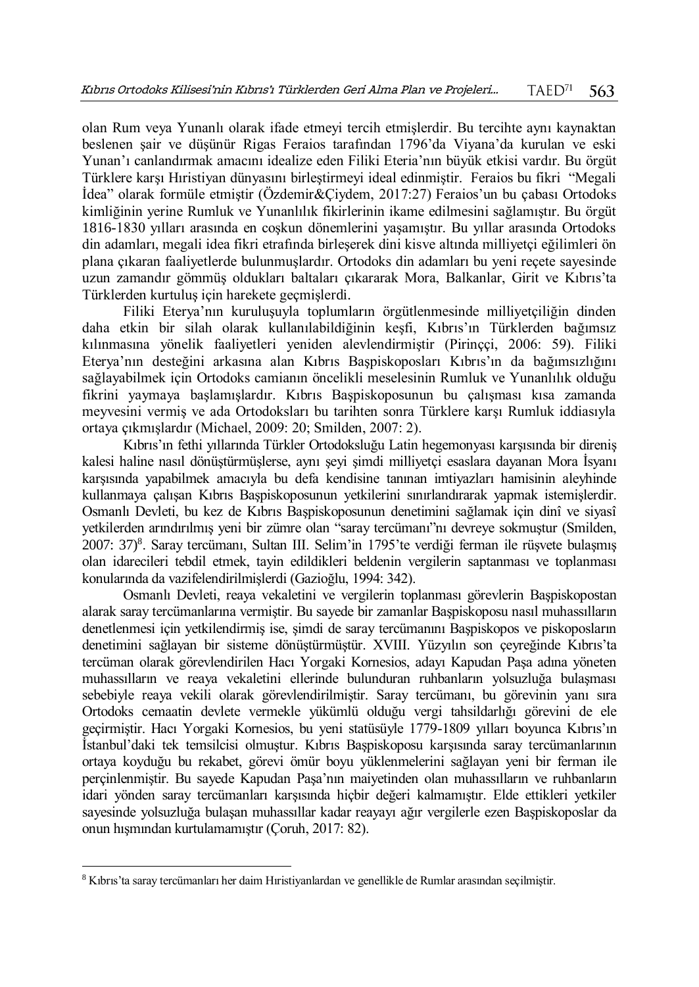olan Rum veya Yunanlı olarak ifade etmeyi tercih etmişlerdir. Bu tercihte aynı kaynaktan beslenen şair ve düşünür Rigas Feraios tarafından 1796'da Viyana'da kurulan ve eski Yunan'ı canlandırmak amacını idealize eden Filiki Eteria'nın büyük etkisi vardır. Bu örgüt Türklere karşı Hıristiyan dünyasını birleştirmeyi ideal edinmiştir. Feraios bu fikri "Megali İdea" olarak formüle etmiştir (Özdemir&Çiydem, 2017:27) Feraios'un bu çabası Ortodoks kimliğinin yerine Rumluk ve Yunanlılık fikirlerinin ikame edilmesini sağlamıştır. Bu örgüt 1816-1830 yılları arasında en coşkun dönemlerini yaşamıştır. Bu yıllar arasında Ortodoks din adamları, megali idea fikri etrafında birleşerek dini kisve altında milliyetçi eğilimleri ön plana çıkaran faaliyetlerde bulunmuşlardır. Ortodoks din adamları bu yeni reçete sayesinde uzun zamandır gömmüş oldukları baltaları çıkararak Mora, Balkanlar, Girit ve Kıbrıs'ta Türklerden kurtuluş için harekete geçmişlerdi.

Filiki Eterya'nın kuruluşuyla toplumların örgütlenmesinde milliyetçiliğin dinden daha etkin bir silah olarak kullanılabildiğinin keşfi, Kıbrıs'ın Türklerden bağımsız kılınmasına yönelik faaliyetleri yeniden alevlendirmiştir (Pirinççi, 2006: 59). Filiki Eterya'nın desteğini arkasına alan Kıbrıs Başpiskoposları Kıbrıs'ın da bağımsızlığını sağlayabilmek için Ortodoks camianın öncelikli meselesinin Rumluk ve Yunanlılık olduğu fikrini yaymaya başlamışlardır. Kıbrıs Başpiskoposunun bu çalışması kısa zamanda meyvesini vermiş ve ada Ortodoksları bu tarihten sonra Türklere karşı Rumluk iddiasıyla ortaya çıkmışlardır (Michael, 2009: 20; Smilden, 2007: 2).

Kıbrıs'ın fethi yıllarında Türkler Ortodoksluğu Latin hegemonyası karşısında bir direniş kalesi haline nasıl dönüştürmüşlerse, aynı şeyi şimdi milliyetçi esaslara dayanan Mora İsyanı karşısında yapabilmek amacıyla bu defa kendisine tanınan imtiyazları hamisinin aleyhinde kullanmaya çalışan Kıbrıs Başpiskoposunun yetkilerini sınırlandırarak yapmak istemişlerdir. Osmanlı Devleti, bu kez de Kıbrıs Başpiskoposunun denetimini sağlamak için dinî ve siyasî yetkilerden arındırılmış yeni bir zümre olan "saray tercümanı"nı devreye sokmuştur (Smilden, 2007: 37)<sup>8</sup>. Saray tercümanı, Sultan III. Selim'in 1795'te verdiği ferman ile rüşvete bulaşmış olan idarecileri tebdil etmek, tayin edildikleri beldenin vergilerin saptanması ve toplanması konularında da vazifelendirilmişlerdi (Gazioğlu, 1994: 342).

Osmanlı Devleti, reaya vekaletini ve vergilerin toplanması görevlerin Başpiskopostan alarak saray tercümanlarına vermiştir. Bu sayede bir zamanlar Başpiskoposu nasıl muhassılların denetlenmesi için yetkilendirmiş ise, şimdi de saray tercümanını Başpiskopos ve piskoposların denetimini sağlayan bir sisteme dönüştürmüştür. XVIII. Yüzyılın son çeyreğinde Kıbrıs'ta tercüman olarak görevlendirilen Hacı Yorgaki Kornesios, adayı Kapudan Paşa adına yöneten muhassılların ve reaya vekaletini ellerinde bulunduran ruhbanların yolsuzluğa bulaşması sebebiyle reaya vekili olarak görevlendirilmiştir. Saray tercümanı, bu görevinin yanı sıra Ortodoks cemaatin devlete vermekle yükümlü olduğu vergi tahsildarlığı görevini de ele geçirmiştir. Hacı Yorgaki Kornesios, bu yeni statüsüyle 1779-1809 yılları boyunca Kıbrıs'ın İstanbul'daki tek temsilcisi olmuştur. Kıbrıs Başpiskoposu karşısında saray tercümanlarının ortaya koyduğu bu rekabet, görevi ömür boyu yüklenmelerini sağlayan yeni bir ferman ile perçinlenmiştir. Bu sayede Kapudan Paşa'nın maiyetinden olan muhassılların ve ruhbanların idari yönden saray tercümanları karşısında hiçbir değeri kalmamıştır. Elde ettikleri yetkiler sayesinde yolsuzluğa bulaşan muhassıllar kadar reayayı ağır vergilerle ezen Başpiskoposlar da onun hışmından kurtulamamıştır (Çoruh, 2017: 82).

 $\overline{a}$ 

<sup>8</sup> Kıbrıs'ta saray tercümanları her daim Hıristiyanlardan ve genellikle de Rumlar arasından seçilmiştir.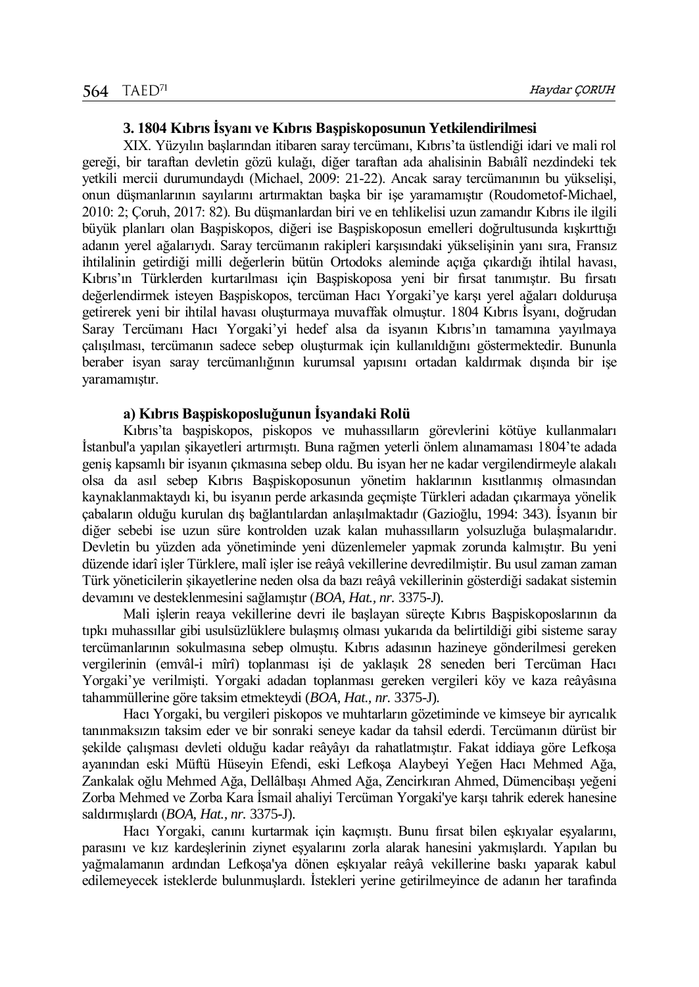## **3. 1804 Kıbrıs İsyanı ve Kıbrıs Başpiskoposunun Yetkilendirilmesi**

XIX. Yüzyılın başlarından itibaren saray tercümanı, Kıbrıs'ta üstlendiği idari ve mali rol gereği, bir taraftan devletin gözü kulağı, diğer taraftan ada ahalisinin Babıâlî nezdindeki tek yetkili mercii durumundaydı (Michael, 2009: 21-22). Ancak saray tercümanının bu yükselişi, onun düşmanlarının sayılarını artırmaktan başka bir işe yaramamıştır (Roudometof-Michael, 2010: 2; Çoruh, 2017: 82). Bu düşmanlardan biri ve en tehlikelisi uzun zamandır Kıbrıs ile ilgili büyük planları olan Başpiskopos, diğeri ise Başpiskoposun emelleri doğrultusunda kışkırttığı adanın yerel ağalarıydı. Saray tercümanın rakipleri karşısındaki yükselişinin yanı sıra, Fransız ihtilalinin getirdiği milli değerlerin bütün Ortodoks aleminde açığa çıkardığı ihtilal havası, Kıbrıs'ın Türklerden kurtarılması için Başpiskoposa yeni bir fırsat tanımıştır. Bu fırsatı değerlendirmek isteyen Başpiskopos, tercüman Hacı Yorgaki'ye karşı yerel ağaları dolduruşa getirerek yeni bir ihtilal havası oluşturmaya muvaffak olmuştur. 1804 Kıbrıs İsyanı, doğrudan Saray Tercümanı Hacı Yorgaki'yi hedef alsa da isyanın Kıbrıs'ın tamamına yayılmaya çalışılması, tercümanın sadece sebep oluşturmak için kullanıldığını göstermektedir. Bununla beraber isyan saray tercümanlığının kurumsal yapısını ortadan kaldırmak dışında bir işe yaramamıştır.

## **a) Kıbrıs Başpiskoposluğunun İsyandaki Rolü**

Kıbrıs'ta başpiskopos, piskopos ve muhassılların görevlerini kötüye kullanmaları İstanbul'a yapılan şikayetleri artırmıştı. Buna rağmen yeterli önlem alınamaması 1804'te adada geniş kapsamlı bir isyanın çıkmasına sebep oldu. Bu isyan her ne kadar vergilendirmeyle alakalı olsa da asıl sebep Kıbrıs Başpiskoposunun yönetim haklarının kısıtlanmış olmasından kaynaklanmaktaydı ki, bu isyanın perde arkasında geçmişte Türkleri adadan çıkarmaya yönelik çabaların olduğu kurulan dış bağlantılardan anlaşılmaktadır (Gazioğlu, 1994: 343). İsyanın bir diğer sebebi ise uzun süre kontrolden uzak kalan muhassılların yolsuzluğa bulaşmalarıdır. Devletin bu yüzden ada yönetiminde yeni düzenlemeler yapmak zorunda kalmıştır. Bu yeni düzende idarî işler Türklere, malî işler ise reâyâ vekillerine devredilmiştir. Bu usul zaman zaman Türk yöneticilerin şikayetlerine neden olsa da bazı reâyâ vekillerinin gösterdiği sadakat sistemin devamını ve desteklenmesini sağlamıştır (*BOA, Hat., nr.* 3375-J).

Mali işlerin reaya vekillerine devri ile başlayan süreçte Kıbrıs Başpiskoposlarının da tıpkı muhassıllar gibi usulsüzlüklere bulaşmış olması yukarıda da belirtildiği gibi sisteme saray tercümanlarının sokulmasına sebep olmuştu. Kıbrıs adasının hazineye gönderilmesi gereken vergilerinin (emvâl-i mîrî) toplanması işi de yaklaşık 28 seneden beri Tercüman Hacı Yorgaki'ye verilmişti. Yorgaki adadan toplanması gereken vergileri köy ve kaza reâyâsına tahammüllerine göre taksim etmekteydi (*BOA, Hat., nr.* 3375-J).

Hacı Yorgaki, bu vergileri piskopos ve muhtarların gözetiminde ve kimseye bir ayrıcalık tanınmaksızın taksim eder ve bir sonraki seneye kadar da tahsil ederdi. Tercümanın dürüst bir şekilde çalışması devleti olduğu kadar reâyâyı da rahatlatmıştır. Fakat iddiaya göre Lefkoşa ayanından eski Müftü Hüseyin Efendi, eski Lefkoşa Alaybeyi Yeğen Hacı Mehmed Ağa, Zankalak oğlu Mehmed Ağa, Dellâlbaşı Ahmed Ağa, Zencirkıran Ahmed, Dümencibaşı yeğeni Zorba Mehmed ve Zorba Kara İsmail ahaliyi Tercüman Yorgaki'ye karşı tahrik ederek hanesine saldırmışlardı (*BOA, Hat., nr.* 3375-J).

Hacı Yorgaki, canını kurtarmak için kaçmıştı. Bunu fırsat bilen eşkıyalar eşyalarını, parasını ve kız kardeşlerinin ziynet eşyalarını zorla alarak hanesini yakmışlardı. Yapılan bu yağmalamanın ardından Lefkoşa'ya dönen eşkıyalar reâyâ vekillerine baskı yaparak kabul edilemeyecek isteklerde bulunmuşlardı. İstekleri yerine getirilmeyince de adanın her tarafında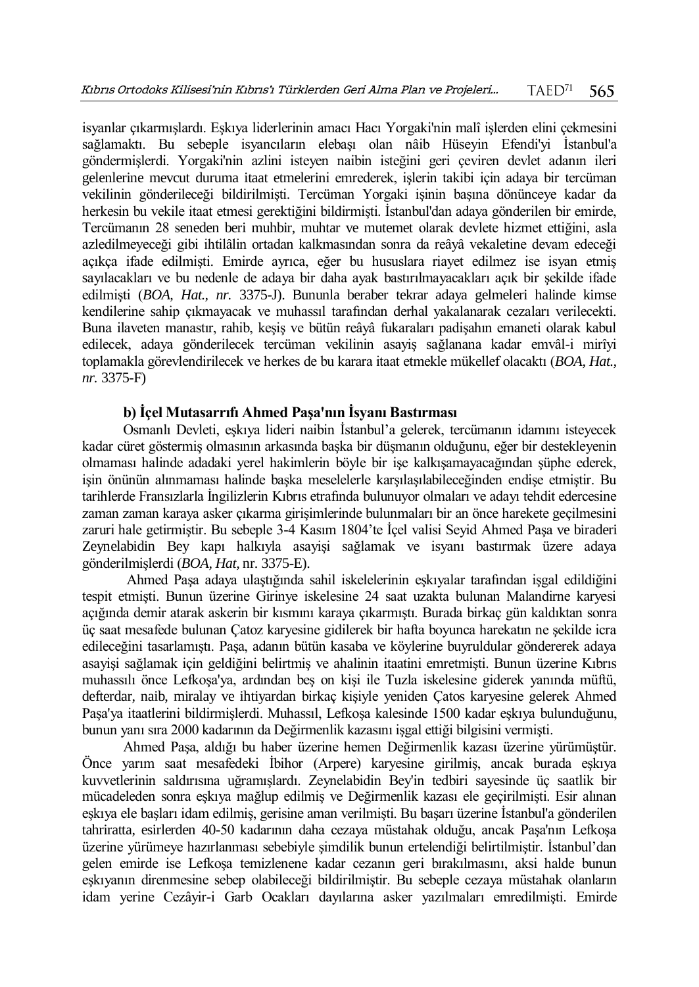isyanlar çıkarmışlardı. Eşkıya liderlerinin amacı Hacı Yorgaki'nin malî işlerden elini çekmesini sağlamaktı. Bu sebeple isyancıların elebaşı olan nâib Hüseyin Efendi'yi İstanbul'a göndermişlerdi. Yorgaki'nin azlini isteyen naibin isteğini geri çeviren devlet adanın ileri gelenlerine mevcut duruma itaat etmelerini emrederek, işlerin takibi için adaya bir tercüman vekilinin gönderileceği bildirilmişti. Tercüman Yorgaki işinin başına dönünceye kadar da herkesin bu vekile itaat etmesi gerektiğini bildirmişti. İstanbul'dan adaya gönderilen bir emirde, Tercümanın 28 seneden beri muhbir, muhtar ve mutemet olarak devlete hizmet ettiğini, asla azledilmeyeceği gibi ihtilâlin ortadan kalkmasından sonra da reâyâ vekaletine devam edeceği açıkça ifade edilmişti. Emirde ayrıca, eğer bu hususlara riayet edilmez ise isyan etmiş sayılacakları ve bu nedenle de adaya bir daha ayak bastırılmayacakları açık bir şekilde ifade edilmişti (*BOA, Hat., nr.* 3375-J). Bununla beraber tekrar adaya gelmeleri halinde kimse kendilerine sahip çıkmayacak ve muhassıl tarafından derhal yakalanarak cezaları verilecekti. Buna ilaveten manastır, rahib, keşiş ve bütün reâyâ fukaraları padişahın emaneti olarak kabul edilecek, adaya gönderilecek tercüman vekilinin asayiş sağlanana kadar emvâl-i mirîyi toplamakla görevlendirilecek ve herkes de bu karara itaat etmekle mükellef olacaktı (*BOA, Hat., nr.* 3375-F)

# **b) İçel Mutasarrıfı Ahmed Paşa'nın İsyanı Bastırması**

Osmanlı Devleti, eşkıya lideri naibin İstanbul'a gelerek, tercümanın idamını isteyecek kadar cüret göstermiş olmasının arkasında başka bir düşmanın olduğunu, eğer bir destekleyenin olmaması halinde adadaki yerel hakimlerin böyle bir işe kalkışamayacağından şüphe ederek, işin önünün alınmaması halinde başka meselelerle karşılaşılabileceğinden endişe etmiştir. Bu tarihlerde Fransızlarla İngilizlerin Kıbrıs etrafında bulunuyor olmaları ve adayı tehdit edercesine zaman zaman karaya asker çıkarma girişimlerinde bulunmaları bir an önce harekete geçilmesini zaruri hale getirmiştir. Bu sebeple 3-4 Kasım 1804'te İçel valisi Seyid Ahmed Paşa ve biraderi Zeynelabidin Bey kapı halkıyla asayişi sağlamak ve isyanı bastırmak üzere adaya gönderilmişlerdi (*BOA, Hat,* nr. 3375-E).

Ahmed Paşa adaya ulaştığında sahil iskelelerinin eşkıyalar tarafından işgal edildiğini tespit etmişti. Bunun üzerine Girinye iskelesine 24 saat uzakta bulunan Malandirne karyesi açığında demir atarak askerin bir kısmını karaya çıkarmıştı. Burada birkaç gün kaldıktan sonra üç saat mesafede bulunan Çatoz karyesine gidilerek bir hafta boyunca harekatın ne şekilde icra edileceğini tasarlamıştı. Paşa, adanın bütün kasaba ve köylerine buyruldular göndererek adaya asayişi sağlamak için geldiğini belirtmiş ve ahalinin itaatini emretmişti. Bunun üzerine Kıbrıs muhassılı önce Lefkoşa'ya, ardından beş on kişi ile Tuzla iskelesine giderek yanında müftü, defterdar, naib, miralay ve ihtiyardan birkaç kişiyle yeniden Çatos karyesine gelerek Ahmed Paşa'ya itaatlerini bildirmişlerdi. Muhassıl, Lefkoşa kalesinde 1500 kadar eşkıya bulunduğunu, bunun yanı sıra 2000 kadarının da Değirmenlik kazasını işgal ettiği bilgisini vermişti.

Ahmed Paşa, aldığı bu haber üzerine hemen Değirmenlik kazası üzerine yürümüştür. Önce yarım saat mesafedeki İbihor (Arpere) karyesine girilmiş, ancak burada eşkıya kuvvetlerinin saldırısına uğramışlardı. Zeynelabidin Bey'in tedbiri sayesinde üç saatlik bir mücadeleden sonra eşkıya mağlup edilmiş ve Değirmenlik kazası ele geçirilmişti. Esir alınan eşkıya ele başları idam edilmiş, gerisine aman verilmişti. Bu başarı üzerine İstanbul'a gönderilen tahriratta, esirlerden 40-50 kadarının daha cezaya müstahak olduğu, ancak Paşa'nın Lefkoşa üzerine yürümeye hazırlanması sebebiyle şimdilik bunun ertelendiği belirtilmiştir. İstanbul'dan gelen emirde ise Lefkoşa temizlenene kadar cezanın geri bırakılmasını, aksi halde bunun eşkıyanın direnmesine sebep olabileceği bildirilmiştir. Bu sebeple cezaya müstahak olanların idam yerine Cezâyir-i Garb Ocakları dayılarına asker yazılmaları emredilmişti. Emirde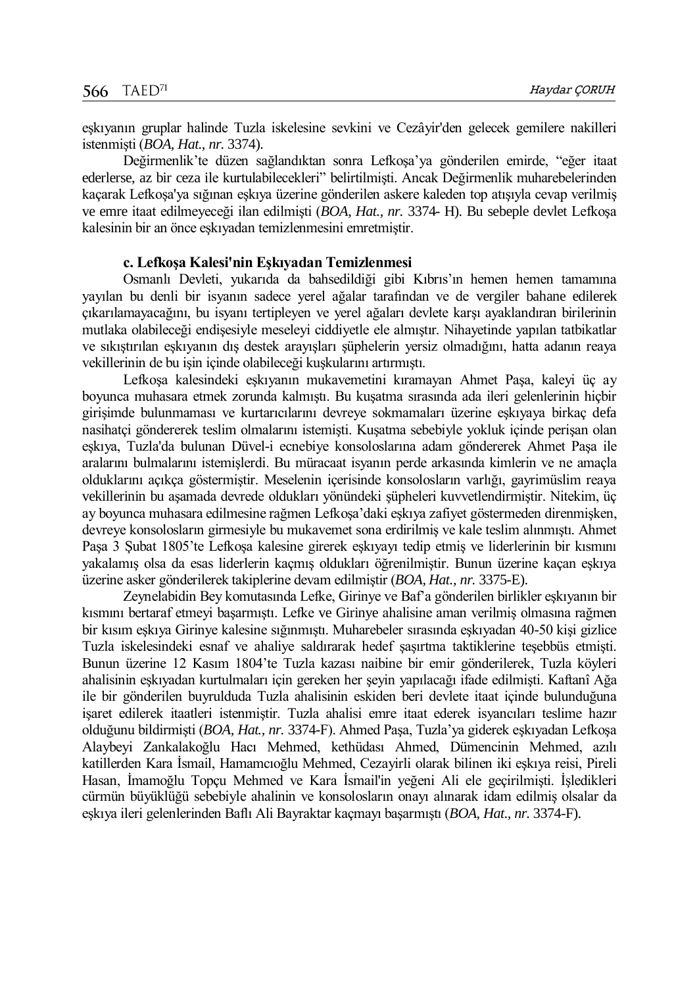eşkıyanın gruplar halinde Tuzla iskelesine sevkini ve Cezâyir'den gelecek gemilere nakilleri istenmişti (*BOA, Hat., nr.* 3374).

Değirmenlik'te düzen sağlandıktan sonra Lefkoşa'ya gönderilen emirde, "eğer itaat ederlerse, az bir ceza ile kurtulabilecekleri" belirtilmişti. Ancak Değirmenlik muharebelerinden kaçarak Lefkoşa'ya sığınan eşkıya üzerine gönderilen askere kaleden top atışıyla cevap verilmiş ve emre itaat edilmeyeceği ilan edilmişti (*BOA, Hat., nr.* 3374- H). Bu sebeple devlet Lefkoşa kalesinin bir an önce eşkıyadan temizlenmesini emretmiştir.

### **c. Lefkoşa Kalesi'nin Eşkıyadan Temizlenmesi**

Osmanlı Devleti, yukarıda da bahsedildiği gibi Kıbrıs'ın hemen hemen tamamına yayılan bu denli bir isyanın sadece yerel ağalar tarafından ve de vergiler bahane edilerek çıkarılamayacağını, bu isyanı tertipleyen ve yerel ağaları devlete karşı ayaklandıran birilerinin mutlaka olabileceği endişesiyle meseleyi ciddiyetle ele almıştır. Nihayetinde yapılan tatbikatlar ve sıkıştırılan eşkıyanın dış destek arayışları şüphelerin yersiz olmadığını, hatta adanın reaya vekillerinin de bu işin içinde olabileceği kuşkularını artırmıştı.

Lefkoşa kalesindeki eşkıyanın mukavemetini kıramayan Ahmet Paşa, kaleyi üç ay boyunca muhasara etmek zorunda kalmıştı. Bu kuşatma sırasında ada ileri gelenlerinin hiçbir girişimde bulunmaması ve kurtarıcılarını devreye sokmamaları üzerine eşkıyaya birkaç defa nasihatçi göndererek teslim olmalarını istemişti. Kuşatma sebebiyle yokluk içinde perişan olan eşkıya, Tuzla'da bulunan Düvel-i ecnebiye konsoloslarına adam göndererek Ahmet Paşa ile aralarını bulmalarını istemişlerdi. Bu müracaat isyanın perde arkasında kimlerin ve ne amaçla olduklarını açıkça göstermiştir. Meselenin içerisinde konsolosların varlığı, gayrimüslim reaya vekillerinin bu aşamada devrede oldukları yönündeki şüpheleri kuvvetlendirmiştir. Nitekim, üç ay boyunca muhasara edilmesine rağmen Lefkoşa'daki eşkıya zafiyet göstermeden direnmişken, devreye konsolosların girmesiyle bu mukavemet sona erdirilmiş ve kale teslim alınmıştı. Ahmet Paşa 3 Şubat 1805'te Lefkoşa kalesine girerek eşkıyayı tedip etmiş ve liderlerinin bir kısmını yakalamış olsa da esas liderlerin kaçmış oldukları öğrenilmiştir. Bunun üzerine kaçan eşkıya üzerine asker gönderilerek takiplerine devam edilmiştir (*BOA, Hat., nr.* 3375-E).

Zeynelabidin Bey komutasında Lefke, Girinye ve Baf'a gönderilen birlikler eşkıyanın bir kısmını bertaraf etmeyi başarmıştı. Lefke ve Girinye ahalisine aman verilmiş olmasına rağmen bir kısım eşkıya Girinye kalesine sığınmıştı. Muharebeler sırasında eşkıyadan 40-50 kişi gizlice Tuzla iskelesindeki esnaf ve ahaliye saldırarak hedef şaşırtma taktiklerine teşebbüs etmişti. Bunun üzerine 12 Kasım 1804'te Tuzla kazası naibine bir emir gönderilerek, Tuzla köyleri ahalisinin eşkıyadan kurtulmaları için gereken her şeyin yapılacağı ifade edilmişti. Kaftanî Ağa ile bir gönderilen buyrulduda Tuzla ahalisinin eskiden beri devlete itaat içinde bulunduğuna işaret edilerek itaatleri istenmiştir. Tuzla ahalisi emre itaat ederek isyancıları teslime hazır olduğunu bildirmişti (*BOA, Hat., nr.* 3374-F). Ahmed Paşa, Tuzla'ya giderek eşkıyadan Lefkoşa Alaybeyi Zankalakoğlu Hacı Mehmed, kethüdası Ahmed, Dümencinin Mehmed, azılı katillerden Kara İsmail, Hamamcıoğlu Mehmed, Cezayirli olarak bilinen iki eşkıya reisi, Pireli Hasan, İmamoğlu Topçu Mehmed ve Kara İsmail'in yeğeni Ali ele geçirilmişti. İşledikleri cürmün büyüklüğü sebebiyle ahalinin ve konsolosların onayı alınarak idam edilmiş olsalar da eşkıya ileri gelenlerinden Baflı Ali Bayraktar kaçmayı başarmıştı (*BOA, Hat., nr.* 3374-F).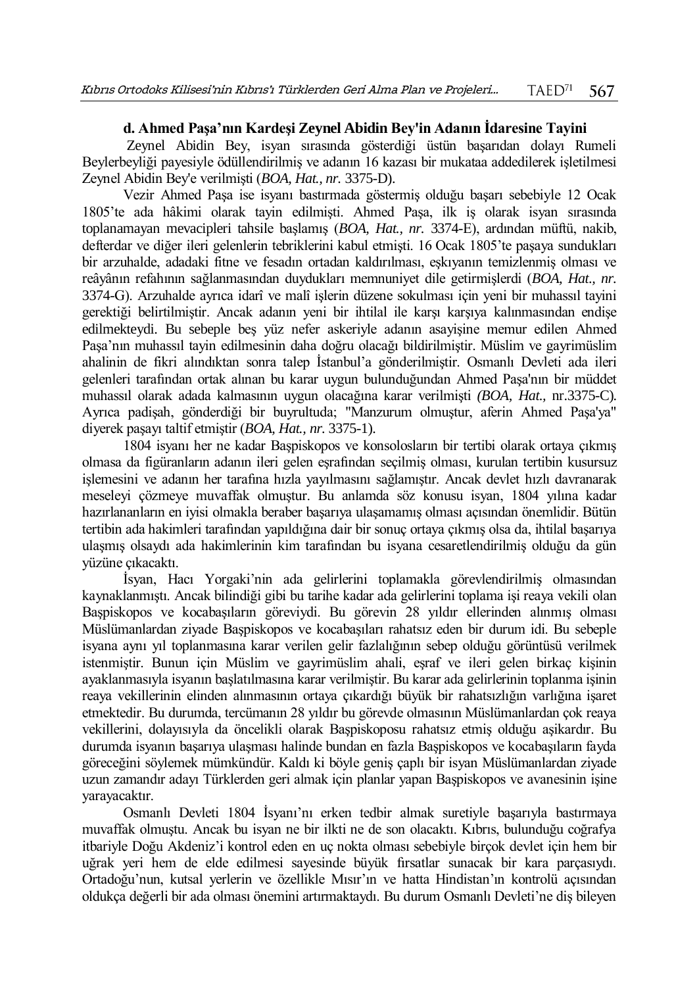# **d. Ahmed Paşa'nın Kardeşi Zeynel Abidin Bey'in Adanın İdaresine Tayini**

Zeynel Abidin Bey, isyan sırasında gösterdiği üstün başarıdan dolayı Rumeli Beylerbeyliği payesiyle ödüllendirilmiş ve adanın 16 kazası bir mukataa addedilerek işletilmesi Zeynel Abidin Bey'e verilmişti (*BOA, Hat., nr.* 3375-D).

Vezir Ahmed Paşa ise isyanı bastırmada göstermiş olduğu başarı sebebiyle 12 Ocak 1805'te ada hâkimi olarak tayin edilmişti. Ahmed Paşa, ilk iş olarak isyan sırasında toplanamayan mevacipleri tahsile başlamış (*BOA, Hat., nr.* 3374-E), ardından müftü, nakib, defterdar ve diğer ileri gelenlerin tebriklerini kabul etmişti. 16 Ocak 1805'te paşaya sundukları bir arzuhalde, adadaki fitne ve fesadın ortadan kaldırılması, eşkıyanın temizlenmiş olması ve reâyânın refahının sağlanmasından duydukları memnuniyet dile getirmişlerdi (*BOA, Hat., nr.*  3374-G). Arzuhalde ayrıca idarî ve malî işlerin düzene sokulması için yeni bir muhassıl tayini gerektiği belirtilmiştir. Ancak adanın yeni bir ihtilal ile karşı karşıya kalınmasından endişe edilmekteydi. Bu sebeple beş yüz nefer askeriyle adanın asayişine memur edilen Ahmed Paşa'nın muhassıl tayin edilmesinin daha doğru olacağı bildirilmiştir. Müslim ve gayrimüslim ahalinin de fikri alındıktan sonra talep İstanbul'a gönderilmiştir. Osmanlı Devleti ada ileri gelenleri tarafından ortak alınan bu karar uygun bulunduğundan Ahmed Paşa'nın bir müddet muhassıl olarak adada kalmasının uygun olacağına karar verilmişti *(BOA, Hat.,* nr.3375-C). Ayrıca padişah, gönderdiği bir buyrultuda; "Manzurum olmuştur, aferin Ahmed Paşa'ya" diyerek paşayı taltif etmiştir (*BOA, Hat., nr.* 3375-1).

1804 isyanı her ne kadar Başpiskopos ve konsolosların bir tertibi olarak ortaya çıkmış olmasa da figüranların adanın ileri gelen eşrafından seçilmiş olması, kurulan tertibin kusursuz işlemesini ve adanın her tarafına hızla yayılmasını sağlamıştır. Ancak devlet hızlı davranarak meseleyi çözmeye muvaffak olmuştur. Bu anlamda söz konusu isyan, 1804 yılına kadar hazırlananların en iyisi olmakla beraber başarıya ulaşamamış olması açısından önemlidir. Bütün tertibin ada hakimleri tarafından yapıldığına dair bir sonuç ortaya çıkmış olsa da, ihtilal başarıya ulaşmış olsaydı ada hakimlerinin kim tarafından bu isyana cesaretlendirilmiş olduğu da gün yüzüne çıkacaktı.

İsyan, Hacı Yorgaki'nin ada gelirlerini toplamakla görevlendirilmiş olmasından kaynaklanmıştı. Ancak bilindiği gibi bu tarihe kadar ada gelirlerini toplama işi reaya vekili olan Başpiskopos ve kocabaşıların göreviydi. Bu görevin 28 yıldır ellerinden alınmış olması Müslümanlardan ziyade Başpiskopos ve kocabaşıları rahatsız eden bir durum idi. Bu sebeple isyana aynı yıl toplanmasına karar verilen gelir fazlalığının sebep olduğu görüntüsü verilmek istenmiştir. Bunun için Müslim ve gayrimüslim ahali, eşraf ve ileri gelen birkaç kişinin ayaklanmasıyla isyanın başlatılmasına karar verilmiştir. Bu karar ada gelirlerinin toplanma işinin reaya vekillerinin elinden alınmasının ortaya çıkardığı büyük bir rahatsızlığın varlığına işaret etmektedir. Bu durumda, tercümanın 28 yıldır bu görevde olmasının Müslümanlardan çok reaya vekillerini, dolayısıyla da öncelikli olarak Başpiskoposu rahatsız etmiş olduğu aşikardır. Bu durumda isyanın başarıya ulaşması halinde bundan en fazla Başpiskopos ve kocabaşıların fayda göreceğini söylemek mümkündür. Kaldı ki böyle geniş çaplı bir isyan Müslümanlardan ziyade uzun zamandır adayı Türklerden geri almak için planlar yapan Başpiskopos ve avanesinin işine yarayacaktır.

Osmanlı Devleti 1804 İsyanı'nı erken tedbir almak suretiyle başarıyla bastırmaya muvaffak olmuştu. Ancak bu isyan ne bir ilkti ne de son olacaktı. Kıbrıs, bulunduğu coğrafya itbariyle Doğu Akdeniz'i kontrol eden en uç nokta olması sebebiyle birçok devlet için hem bir uğrak yeri hem de elde edilmesi sayesinde büyük fırsatlar sunacak bir kara parçasıydı. Ortadoğu'nun, kutsal yerlerin ve özellikle Mısır'ın ve hatta Hindistan'ın kontrolü açısından oldukça değerli bir ada olması önemini artırmaktaydı. Bu durum Osmanlı Devleti'ne diş bileyen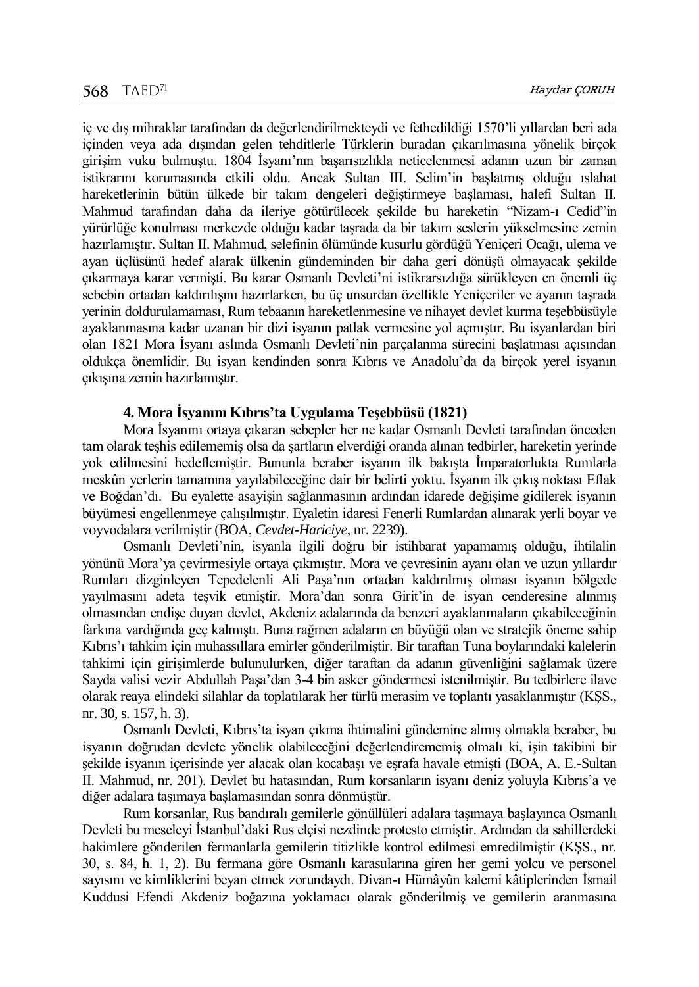iç ve dış mihraklar tarafından da değerlendirilmekteydi ve fethedildiği 1570'li yıllardan beri ada içinden veya ada dışından gelen tehditlerle Türklerin buradan çıkarılmasına yönelik birçok girişim vuku bulmuştu. 1804 İsyanı'nın başarısızlıkla neticelenmesi adanın uzun bir zaman istikrarını korumasında etkili oldu. Ancak Sultan III. Selim'in başlatmış olduğu ıslahat hareketlerinin bütün ülkede bir takım dengeleri değiştirmeye başlaması, halefi Sultan II. Mahmud tarafından daha da ileriye götürülecek şekilde bu hareketin "Nizam-ı Cedid"in yürürlüğe konulması merkezde olduğu kadar taşrada da bir takım seslerin yükselmesine zemin hazırlamıştır. Sultan II. Mahmud, selefinin ölümünde kusurlu gördüğü Yeniçeri Ocağı, ulema ve ayan üçlüsünü hedef alarak ülkenin gündeminden bir daha geri dönüşü olmayacak şekilde çıkarmaya karar vermişti. Bu karar Osmanlı Devleti'ni istikrarsızlığa sürükleyen en önemli üç sebebin ortadan kaldırılışını hazırlarken, bu üç unsurdan özellikle Yeniçeriler ve ayanın taşrada yerinin doldurulamaması, Rum tebaanın hareketlenmesine ve nihayet devlet kurma teşebbüsüyle ayaklanmasına kadar uzanan bir dizi isyanın patlak vermesine yol açmıştır. Bu isyanlardan biri olan 1821 Mora İsyanı aslında Osmanlı Devleti'nin parçalanma sürecini başlatması açısından oldukça önemlidir. Bu isyan kendinden sonra Kıbrıs ve Anadolu'da da birçok yerel isyanın çıkışına zemin hazırlamıştır.

# **4. Mora İsyanını Kıbrıs'ta Uygulama Teşebbüsü (1821)**

Mora İsyanını ortaya çıkaran sebepler her ne kadar Osmanlı Devleti tarafından önceden tam olarak teşhis edilememiş olsa da şartların elverdiği oranda alınan tedbirler, hareketin yerinde yok edilmesini hedeflemiştir. Bununla beraber isyanın ilk bakışta İmparatorlukta Rumlarla meskûn yerlerin tamamına yayılabileceğine dair bir belirti yoktu. İsyanın ilk çıkış noktası Eflak ve Boğdan'dı. Bu eyalette asayişin sağlanmasının ardından idarede değişime gidilerek isyanın büyümesi engellenmeye çalışılmıştır. Eyaletin idaresi Fenerli Rumlardan alınarak yerli boyar ve voyvodalara verilmiştir (BOA, *Cevdet-Hariciye*, nr. 2239).

Osmanlı Devleti'nin, isyanla ilgili doğru bir istihbarat yapamamış olduğu, ihtilalin yönünü Mora'ya çevirmesiyle ortaya çıkmıştır. Mora ve çevresinin ayanı olan ve uzun yıllardır Rumları dizginleyen Tepedelenli Ali Paşa'nın ortadan kaldırılmış olması isyanın bölgede yayılmasını adeta teşvik etmiştir. Mora'dan sonra Girit'in de isyan cenderesine alınmış olmasından endişe duyan devlet, Akdeniz adalarında da benzeri ayaklanmaların çıkabileceğinin farkına vardığında geç kalmıştı. Buna rağmen adaların en büyüğü olan ve stratejik öneme sahip Kıbrıs'ı tahkim için muhassıllara emirler gönderilmiştir. Bir taraftan Tuna boylarındaki kalelerin tahkimi için girişimlerde bulunulurken, diğer taraftan da adanın güvenliğini sağlamak üzere Sayda valisi vezir Abdullah Paşa'dan 3-4 bin asker göndermesi istenilmiştir. Bu tedbirlere ilave olarak reaya elindeki silahlar da toplatılarak her türlü merasim ve toplantı yasaklanmıştır (KŞS., nr. 30, s. 157, h. 3).

Osmanlı Devleti, Kıbrıs'ta isyan çıkma ihtimalini gündemine almış olmakla beraber, bu isyanın doğrudan devlete yönelik olabileceğini değerlendirememiş olmalı ki, işin takibini bir şekilde isyanın içerisinde yer alacak olan kocabaşı ve eşrafa havale etmişti (BOA, A. E.-Sultan II. Mahmud, nr. 201). Devlet bu hatasından, Rum korsanların isyanı deniz yoluyla Kıbrıs'a ve diğer adalara taşımaya başlamasından sonra dönmüştür.

Rum korsanlar, Rus bandıralı gemilerle gönüllüleri adalara taşımaya başlayınca Osmanlı Devleti bu meseleyi İstanbul'daki Rus elçisi nezdinde protesto etmiştir. Ardından da sahillerdeki hakimlere gönderilen fermanlarla gemilerin titizlikle kontrol edilmesi emredilmiştir (KŞS., nr. 30, s. 84, h. 1, 2). Bu fermana göre Osmanlı karasularına giren her gemi yolcu ve personel sayısını ve kimliklerini beyan etmek zorundaydı. Divan-ı Hümâyûn kalemi kâtiplerinden İsmail Kuddusi Efendi Akdeniz boğazına yoklamacı olarak gönderilmiş ve gemilerin aranmasına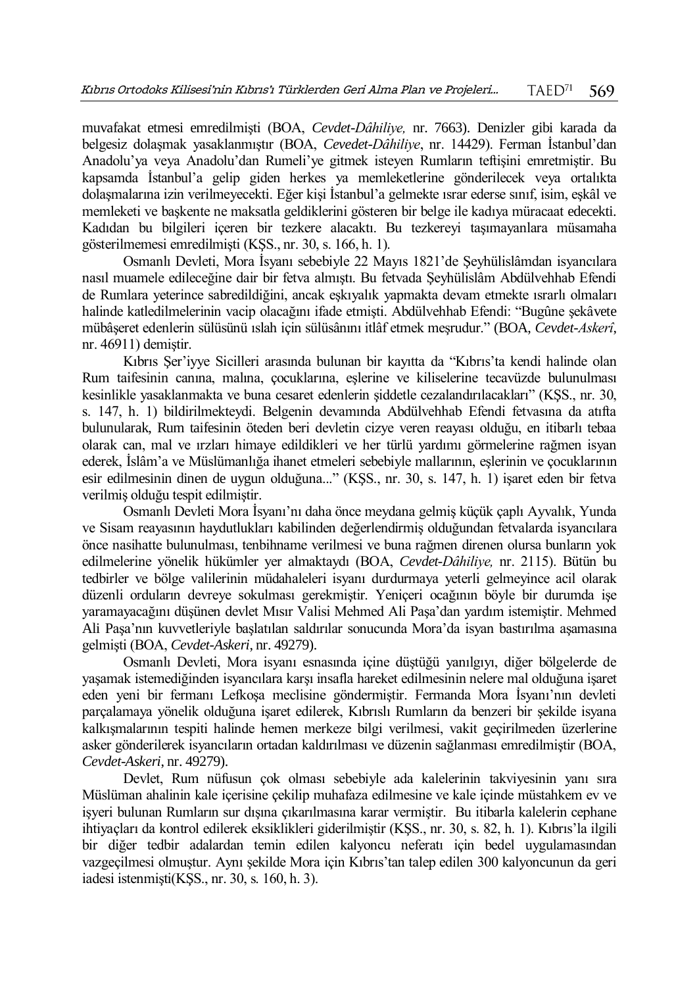muvafakat etmesi emredilmişti (BOA, *Cevdet-Dâhiliye,* nr. 7663). Denizler gibi karada da belgesiz dolaşmak yasaklanmıştır (BOA, *Cevedet-Dâhiliye*, nr. 14429). Ferman İstanbul'dan Anadolu'ya veya Anadolu'dan Rumeli'ye gitmek isteyen Rumların teftişini emretmiştir. Bu kapsamda İstanbul'a gelip giden herkes ya memleketlerine gönderilecek veya ortalıkta dolaşmalarına izin verilmeyecekti. Eğer kişi İstanbul'a gelmekte ısrar ederse sınıf, isim, eşkâl ve memleketi ve başkente ne maksatla geldiklerini gösteren bir belge ile kadıya müracaat edecekti. Kadıdan bu bilgileri içeren bir tezkere alacaktı. Bu tezkereyi taşımayanlara müsamaha gösterilmemesi emredilmişti (KŞS., nr. 30, s. 166, h. 1).

Osmanlı Devleti, Mora İsyanı sebebiyle 22 Mayıs 1821'de Şeyhülislâmdan isyancılara nasıl muamele edileceğine dair bir fetva almıştı. Bu fetvada Şeyhülislâm Abdülvehhab Efendi de Rumlara yeterince sabredildiğini, ancak eşkıyalık yapmakta devam etmekte ısrarlı olmaları halinde katledilmelerinin vacip olacağını ifade etmişti. Abdülvehhab Efendi: "Bugûne şekâvete mübâşeret edenlerin sülüsünü ıslah için sülüsânını itlâf etmek meşrudur." (BOA, *Cevdet-Askerî*, nr. 46911) demiştir.

Kıbrıs Şer'iyye Sicilleri arasında bulunan bir kayıtta da "Kıbrıs'ta kendi halinde olan Rum taifesinin canına, malına, çocuklarına, eşlerine ve kiliselerine tecavüzde bulunulması kesinlikle yasaklanmakta ve buna cesaret edenlerin şiddetle cezalandırılacakları" (KŞS., nr. 30, s. 147, h. 1) bildirilmekteydi. Belgenin devamında Abdülvehhab Efendi fetvasına da atıfta bulunularak, Rum taifesinin öteden beri devletin cizye veren reayası olduğu, en itibarlı tebaa olarak can, mal ve ırzları himaye edildikleri ve her türlü yardımı görmelerine rağmen isyan ederek, İslâm'a ve Müslümanlığa ihanet etmeleri sebebiyle mallarının, eşlerinin ve çocuklarının esir edilmesinin dinen de uygun olduğuna..." (KŞS., nr. 30, s. 147, h. 1) işaret eden bir fetva verilmiş olduğu tespit edilmiştir.

Osmanlı Devleti Mora İsyanı'nı daha önce meydana gelmiş küçük çaplı Ayvalık, Yunda ve Sisam reayasının haydutlukları kabilinden değerlendirmiş olduğundan fetvalarda isyancılara önce nasihatte bulunulması, tenbihname verilmesi ve buna rağmen direnen olursa bunların yok edilmelerine yönelik hükümler yer almaktaydı (BOA, *Cevdet-Dâhiliye,* nr. 2115). Bütün bu tedbirler ve bölge valilerinin müdahaleleri isyanı durdurmaya yeterli gelmeyince acil olarak düzenli orduların devreye sokulması gerekmiştir. Yeniçeri ocağının böyle bir durumda işe yaramayacağını düşünen devlet Mısır Valisi Mehmed Ali Paşa'dan yardım istemiştir. Mehmed Ali Paşa'nın kuvvetleriyle başlatılan saldırılar sonucunda Mora'da isyan bastırılma aşamasına gelmişti (BOA, *Cevdet-Askeri*, nr. 49279).

Osmanlı Devleti, Mora isyanı esnasında içine düştüğü yanılgıyı, diğer bölgelerde de yaşamak istemediğinden isyancılara karşı insafla hareket edilmesinin nelere mal olduğuna işaret eden yeni bir fermanı Lefkoşa meclisine göndermiştir. Fermanda Mora İsyanı'nın devleti parçalamaya yönelik olduğuna işaret edilerek, Kıbrıslı Rumların da benzeri bir şekilde isyana kalkışmalarının tespiti halinde hemen merkeze bilgi verilmesi, vakit geçirilmeden üzerlerine asker gönderilerek isyancıların ortadan kaldırılması ve düzenin sağlanması emredilmiştir (BOA, *Cevdet-Askeri*, nr. 49279).

Devlet, Rum nüfusun çok olması sebebiyle ada kalelerinin takviyesinin yanı sıra Müslüman ahalinin kale içerisine çekilip muhafaza edilmesine ve kale içinde müstahkem ev ve işyeri bulunan Rumların sur dışına çıkarılmasına karar vermiştir. Bu itibarla kalelerin cephane ihtiyaçları da kontrol edilerek eksiklikleri giderilmiştir (KŞS., nr. 30, s. 82, h. 1). Kıbrıs'la ilgili bir diğer tedbir adalardan temin edilen kalyoncu neferatı için bedel uygulamasından vazgeçilmesi olmuştur. Aynı şekilde Mora için Kıbrıs'tan talep edilen 300 kalyoncunun da geri iadesi istenmişti(KŞS., nr. 30, s. 160, h. 3).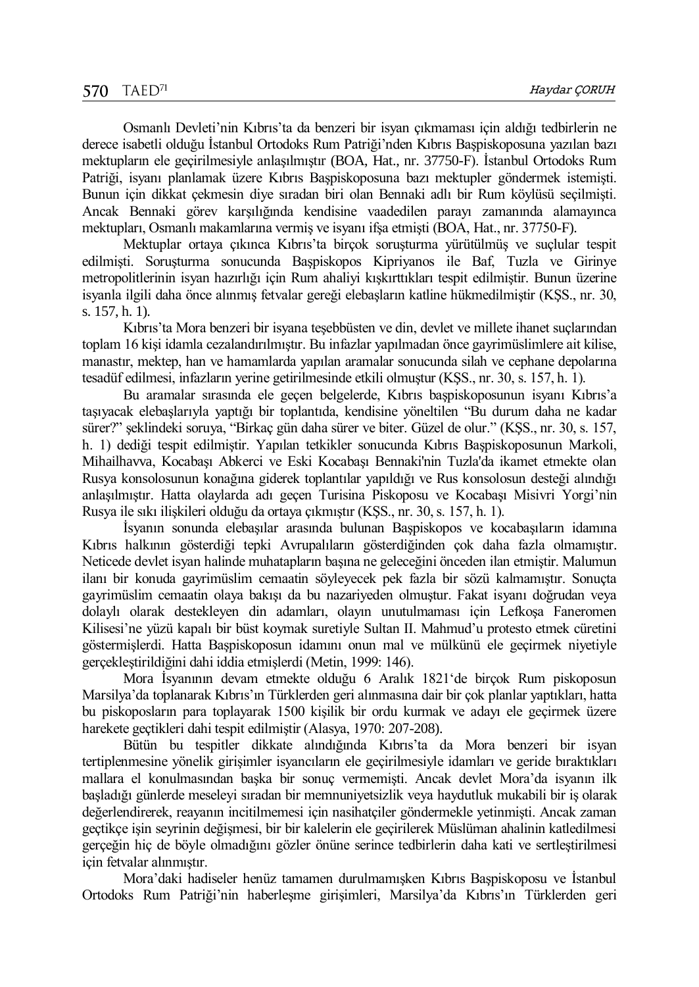Osmanlı Devleti'nin Kıbrıs'ta da benzeri bir isyan çıkmaması için aldığı tedbirlerin ne derece isabetli olduğu İstanbul Ortodoks Rum Patriği'nden Kıbrıs Başpiskoposuna yazılan bazı mektupların ele geçirilmesiyle anlaşılmıştır (BOA, Hat., nr. 37750-F). İstanbul Ortodoks Rum Patriği, isyanı planlamak üzere Kıbrıs Başpiskoposuna bazı mektupler göndermek istemişti. Bunun için dikkat çekmesin diye sıradan biri olan Bennaki adlı bir Rum köylüsü seçilmişti. Ancak Bennaki görev karşılığında kendisine vaadedilen parayı zamanında alamayınca mektupları, Osmanlı makamlarına vermiş ve isyanı ifşa etmişti (BOA, Hat., nr. 37750-F).

Mektuplar ortaya çıkınca Kıbrıs'ta birçok soruşturma yürütülmüş ve suçlular tespit edilmişti. Soruşturma sonucunda Başpiskopos Kipriyanos ile Baf, Tuzla ve Girinye metropolitlerinin isyan hazırlığı için Rum ahaliyi kışkırttıkları tespit edilmiştir. Bunun üzerine isyanla ilgili daha önce alınmış fetvalar gereği elebaşların katline hükmedilmiştir (KŞS., nr. 30, s. 157, h. 1).

Kıbrıs'ta Mora benzeri bir isyana teşebbüsten ve din, devlet ve millete ihanet suçlarından toplam 16 kişi idamla cezalandırılmıştır. Bu infazlar yapılmadan önce gayrimüslimlere ait kilise, manastır, mektep, han ve hamamlarda yapılan aramalar sonucunda silah ve cephane depolarına tesadüf edilmesi, infazların yerine getirilmesinde etkili olmuştur (KŞS., nr. 30, s. 157, h. 1).

Bu aramalar sırasında ele geçen belgelerde, Kıbrıs başpiskoposunun isyanı Kıbrıs'a taşıyacak elebaşlarıyla yaptığı bir toplantıda, kendisine yöneltilen "Bu durum daha ne kadar sürer?" şeklindeki soruya, "Birkaç gün daha sürer ve biter. Güzel de olur." (KŞS., nr. 30, s. 157, h. 1) dediği tespit edilmiştir. Yapılan tetkikler sonucunda Kıbrıs Başpiskoposunun Markoli, Mihailhavva, Kocabaşı Abkerci ve Eski Kocabaşı Bennaki'nin Tuzla'da ikamet etmekte olan Rusya konsolosunun konağına giderek toplantılar yapıldığı ve Rus konsolosun desteği alındığı anlaşılmıştır. Hatta olaylarda adı geçen Turisina Piskoposu ve Kocabaşı Misivri Yorgi'nin Rusya ile sıkı ilişkileri olduğu da ortaya çıkmıştır (KŞS., nr. 30, s. 157, h. 1).

İsyanın sonunda elebaşılar arasında bulunan Başpiskopos ve kocabaşıların idamına Kıbrıs halkının gösterdiği tepki Avrupalıların gösterdiğinden çok daha fazla olmamıştır. Neticede devlet isyan halinde muhatapların başına ne geleceğini önceden ilan etmiştir. Malumun ilanı bir konuda gayrimüslim cemaatin söyleyecek pek fazla bir sözü kalmamıştır. Sonuçta gayrimüslim cemaatin olaya bakışı da bu nazariyeden olmuştur. Fakat isyanı doğrudan veya dolaylı olarak destekleyen din adamları, olayın unutulmaması için Lefkoşa Faneromen Kilisesi'ne yüzü kapalı bir büst koymak suretiyle Sultan II. Mahmud'u protesto etmek cüretini göstermişlerdi. Hatta Başpiskoposun idamını onun mal ve mülkünü ele geçirmek niyetiyle gerçekleştirildiğini dahi iddia etmişlerdi (Metin, 1999: 146).

Mora İsyanının devam etmekte olduğu 6 Aralık 1821'de birçok Rum piskoposun Marsilya'da toplanarak Kıbrıs'ın Türklerden geri alınmasına dair bir çok planlar yaptıkları, hatta bu piskoposların para toplayarak 1500 kişilik bir ordu kurmak ve adayı ele geçirmek üzere harekete geçtikleri dahi tespit edilmiştir (Alasya, 1970: 207-208).

Bütün bu tespitler dikkate alındığında Kıbrıs'ta da Mora benzeri bir isyan tertiplenmesine yönelik girişimler isyancıların ele geçirilmesiyle idamları ve geride bıraktıkları mallara el konulmasından başka bir sonuç vermemişti. Ancak devlet Mora'da isyanın ilk başladığı günlerde meseleyi sıradan bir memnuniyetsizlik veya haydutluk mukabili bir iş olarak değerlendirerek, reayanın incitilmemesi için nasihatçiler göndermekle yetinmişti. Ancak zaman geçtikçe işin seyrinin değişmesi, bir bir kalelerin ele geçirilerek Müslüman ahalinin katledilmesi gerçeğin hiç de böyle olmadığını gözler önüne serince tedbirlerin daha kati ve sertleştirilmesi için fetvalar alınmıştır.

Mora'daki hadiseler henüz tamamen durulmamışken Kıbrıs Başpiskoposu ve İstanbul Ortodoks Rum Patriği'nin haberleşme girişimleri, Marsilya'da Kıbrıs'ın Türklerden geri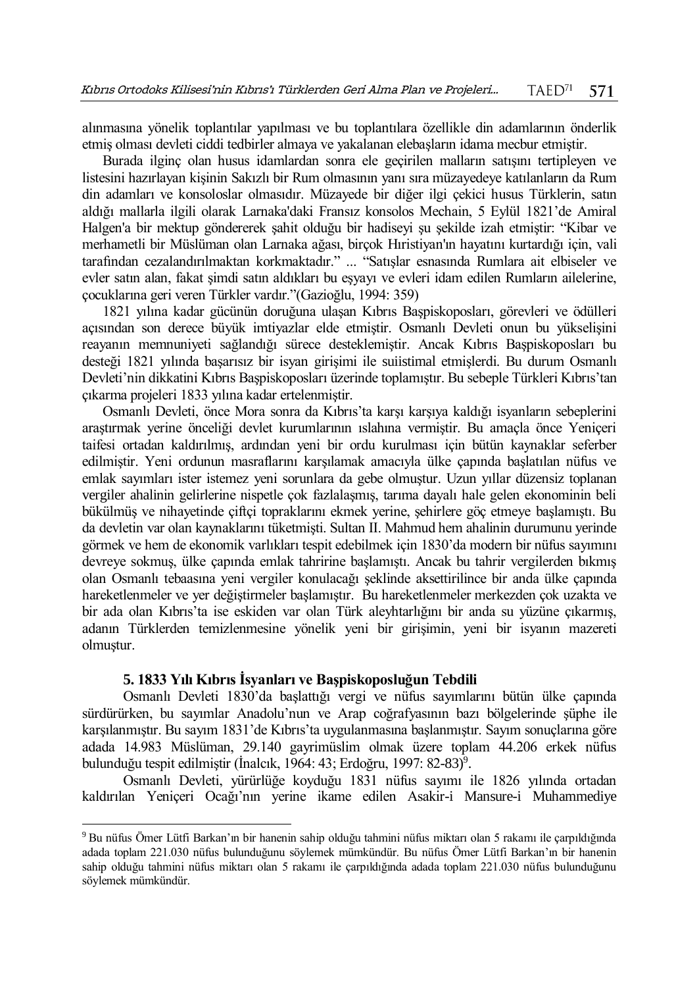alınmasına yönelik toplantılar yapılması ve bu toplantılara özellikle din adamlarının önderlik etmiş olması devleti ciddi tedbirler almaya ve yakalanan elebaşların idama mecbur etmiştir.

Burada ilginç olan husus idamlardan sonra ele geçirilen malların satışını tertipleyen ve listesini hazırlayan kişinin Sakızlı bir Rum olmasının yanı sıra müzayedeye katılanların da Rum din adamları ve konsoloslar olmasıdır. Müzayede bir diğer ilgi çekici husus Türklerin, satın aldığı mallarla ilgili olarak Larnaka'daki Fransız konsolos Mechain, 5 Eylül 1821'de Amiral Halgen'a bir mektup göndererek şahit olduğu bir hadiseyi şu şekilde izah etmiştir: "Kibar ve merhametli bir Müslüman olan Larnaka ağası, birçok Hıristiyan'ın hayatını kurtardığı için, vali tarafından cezalandırılmaktan korkmaktadır." ... "Satışlar esnasında Rumlara ait elbiseler ve evler satın alan, fakat şimdi satın aldıkları bu eşyayı ve evleri idam edilen Rumların ailelerine, çocuklarına geri veren Türkler vardır."(Gazioğlu, 1994: 359)

1821 yılına kadar gücünün doruğuna ulaşan Kıbrıs Başpiskoposları, görevleri ve ödülleri açısından son derece büyük imtiyazlar elde etmiştir. Osmanlı Devleti onun bu yükselişini reayanın memnuniyeti sağlandığı sürece desteklemiştir. Ancak Kıbrıs Başpiskoposları bu desteği 1821 yılında başarısız bir isyan girişimi ile suiistimal etmişlerdi. Bu durum Osmanlı Devleti'nin dikkatini Kıbrıs Başpiskoposları üzerinde toplamıştır. Bu sebeple Türkleri Kıbrıs'tan çıkarma projeleri 1833 yılına kadar ertelenmiştir.

Osmanlı Devleti, önce Mora sonra da Kıbrıs'ta karşı karşıya kaldığı isyanların sebeplerini araştırmak yerine önceliği devlet kurumlarının ıslahına vermiştir. Bu amaçla önce Yeniçeri taifesi ortadan kaldırılmış, ardından yeni bir ordu kurulması için bütün kaynaklar seferber edilmiştir. Yeni ordunun masraflarını karşılamak amacıyla ülke çapında başlatılan nüfus ve emlak sayımları ister istemez yeni sorunlara da gebe olmuştur. Uzun yıllar düzensiz toplanan vergiler ahalinin gelirlerine nispetle çok fazlalaşmış, tarıma dayalı hale gelen ekonominin beli bükülmüş ve nihayetinde çiftçi topraklarını ekmek yerine, şehirlere göç etmeye başlamıştı. Bu da devletin var olan kaynaklarını tüketmişti. Sultan II. Mahmud hem ahalinin durumunu yerinde görmek ve hem de ekonomik varlıkları tespit edebilmek için 1830'da modern bir nüfus sayımını devreye sokmuş, ülke çapında emlak tahririne başlamıştı. Ancak bu tahrir vergilerden bıkmış olan Osmanlı tebaasına yeni vergiler konulacağı şeklinde aksettirilince bir anda ülke çapında hareketlenmeler ve yer değiştirmeler başlamıştır. Bu hareketlenmeler merkezden çok uzakta ve bir ada olan Kıbrıs'ta ise eskiden var olan Türk aleyhtarlığını bir anda su yüzüne çıkarmış, adanın Türklerden temizlenmesine yönelik yeni bir girişimin, yeni bir isyanın mazereti olmuştur.

# **5. 1833 Yılı Kıbrıs İsyanları ve Başpiskoposluğun Tebdili**

 $\overline{a}$ 

Osmanlı Devleti 1830'da başlattığı vergi ve nüfus sayımlarını bütün ülke çapında sürdürürken, bu sayımlar Anadolu'nun ve Arap coğrafyasının bazı bölgelerinde şüphe ile karşılanmıştır. Bu sayım 1831'de Kıbrıs'ta uygulanmasına başlanmıştır. Sayım sonuçlarına göre adada 14.983 Müslüman, 29.140 gayrimüslim olmak üzere toplam 44.206 erkek nüfus bulunduğu tespit edilmiştir (İnalcık, 1964: 43; Erdoğru, 1997: 82-83)<sup>9</sup>.

Osmanlı Devleti, yürürlüğe koyduğu 1831 nüfus sayımı ile 1826 yılında ortadan kaldırılan Yeniçeri Ocağı'nın yerine ikame edilen Asakir-i Mansure-i Muhammediye

<sup>9</sup> Bu nüfus Ömer Lütfi Barkan'ın bir hanenin sahip olduğu tahmini nüfus miktarı olan 5 rakamı ile çarpıldığında adada toplam 221.030 nüfus bulunduğunu söylemek mümkündür. Bu nüfus Ömer Lütfi Barkan'ın bir hanenin sahip olduğu tahmini nüfus miktarı olan 5 rakamı ile çarpıldığında adada toplam 221.030 nüfus bulunduğunu söylemek mümkündür.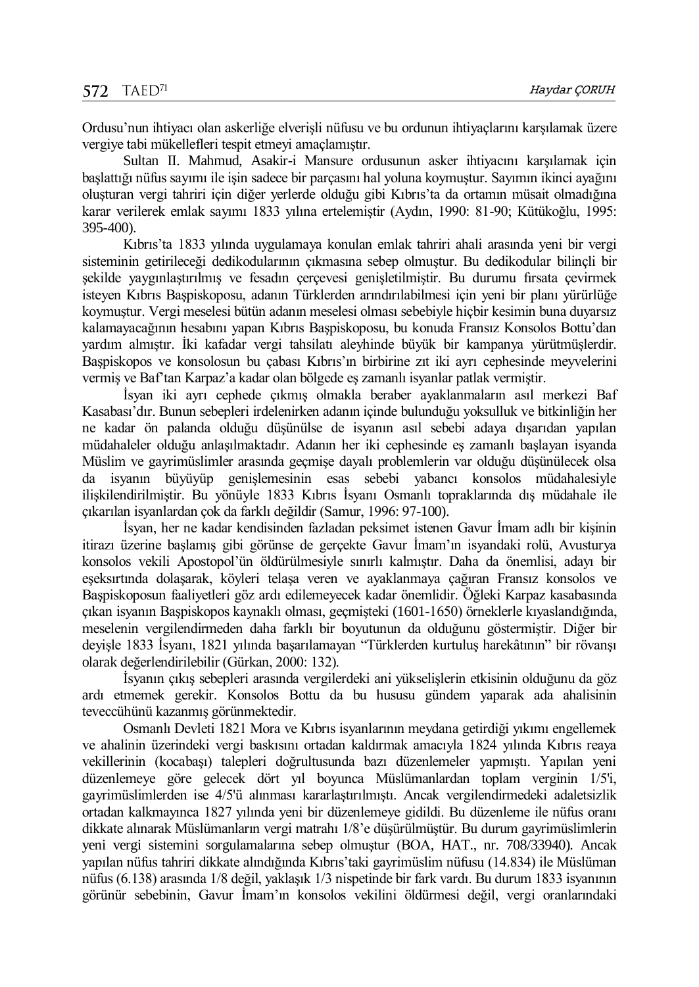Ordusu'nun ihtiyacı olan askerliğe elverişli nüfusu ve bu ordunun ihtiyaçlarını karşılamak üzere vergiye tabi mükellefleri tespit etmeyi amaçlamıştır.

Sultan II. Mahmud, Asakir-i Mansure ordusunun asker ihtiyacını karşılamak için başlattığı nüfus sayımı ile işin sadece bir parçasını hal yoluna koymuştur. Sayımın ikinci ayağını oluşturan vergi tahriri için diğer yerlerde olduğu gibi Kıbrıs'ta da ortamın müsait olmadığına karar verilerek emlak sayımı 1833 yılına ertelemiştir (Aydın, 1990: 81-90; Kütükoğlu, 1995: 395-400).

Kıbrıs'ta 1833 yılında uygulamaya konulan emlak tahriri ahali arasında yeni bir vergi sisteminin getirileceği dedikodularının çıkmasına sebep olmuştur. Bu dedikodular bilinçli bir şekilde yaygınlaştırılmış ve fesadın çerçevesi genişletilmiştir. Bu durumu fırsata çevirmek isteyen Kıbrıs Başpiskoposu, adanın Türklerden arındırılabilmesi için yeni bir planı yürürlüğe koymuştur. Vergi meselesi bütün adanın meselesi olması sebebiyle hiçbir kesimin buna duyarsız kalamayacağının hesabını yapan Kıbrıs Başpiskoposu, bu konuda Fransız Konsolos Bottu'dan yardım almıştır. İki kafadar vergi tahsilatı aleyhinde büyük bir kampanya yürütmüşlerdir. Başpiskopos ve konsolosun bu çabası Kıbrıs'ın birbirine zıt iki ayrı cephesinde meyvelerini vermiş ve Baf'tan Karpaz'a kadar olan bölgede eş zamanlı isyanlar patlak vermiştir.

İsyan iki ayrı cephede çıkmış olmakla beraber ayaklanmaların asıl merkezi Baf Kasabası'dır. Bunun sebepleri irdelenirken adanın içinde bulunduğu yoksulluk ve bitkinliğin her ne kadar ön palanda olduğu düşünülse de isyanın asıl sebebi adaya dışarıdan yapılan müdahaleler olduğu anlaşılmaktadır. Adanın her iki cephesinde eş zamanlı başlayan isyanda Müslim ve gayrimüslimler arasında geçmişe dayalı problemlerin var olduğu düşünülecek olsa da isyanın büyüyüp genişlemesinin esas sebebi yabancı konsolos müdahalesiyle ilişkilendirilmiştir. Bu yönüyle 1833 Kıbrıs İsyanı Osmanlı topraklarında dış müdahale ile çıkarılan isyanlardan çok da farklı değildir (Samur, 1996: 97-100).

İsyan, her ne kadar kendisinden fazladan peksimet istenen Gavur İmam adlı bir kişinin itirazı üzerine başlamış gibi görünse de gerçekte Gavur İmam'ın isyandaki rolü, Avusturya konsolos vekili Apostopol'ün öldürülmesiyle sınırlı kalmıştır. Daha da önemlisi, adayı bir eşeksırtında dolaşarak, köyleri telaşa veren ve ayaklanmaya çağıran Fransız konsolos ve Başpiskoposun faaliyetleri göz ardı edilemeyecek kadar önemlidir. Öğleki Karpaz kasabasında çıkan isyanın Başpiskopos kaynaklı olması, geçmişteki (1601-1650) örneklerle kıyaslandığında, meselenin vergilendirmeden daha farklı bir boyutunun da olduğunu göstermiştir. Diğer bir deyişle 1833 İsyanı, 1821 yılında başarılamayan "Türklerden kurtuluş harekâtının" bir rövanşı olarak değerlendirilebilir (Gürkan, 2000: 132).

İsyanın çıkış sebepleri arasında vergilerdeki ani yükselişlerin etkisinin olduğunu da göz ardı etmemek gerekir. Konsolos Bottu da bu hususu gündem yaparak ada ahalisinin teveccühünü kazanmış görünmektedir.

Osmanlı Devleti 1821 Mora ve Kıbrıs isyanlarının meydana getirdiği yıkımı engellemek ve ahalinin üzerindeki vergi baskısını ortadan kaldırmak amacıyla 1824 yılında Kıbrıs reaya vekillerinin (kocabaşı) talepleri doğrultusunda bazı düzenlemeler yapmıştı. Yapılan yeni düzenlemeye göre gelecek dört yıl boyunca Müslümanlardan toplam verginin 1/5'i, gayrimüslimlerden ise 4/5'ü alınması kararlaştırılmıştı. Ancak vergilendirmedeki adaletsizlik ortadan kalkmayınca 1827 yılında yeni bir düzenlemeye gidildi. Bu düzenleme ile nüfus oranı dikkate alınarak Müslümanların vergi matrahı 1/8'e düşürülmüştür. Bu durum gayrimüslimlerin yeni vergi sistemini sorgulamalarına sebep olmuştur (BOA*,* HAT., nr. 708/33940). Ancak yapılan nüfus tahriri dikkate alındığında Kıbrıs'taki gayrimüslim nüfusu (14.834) ile Müslüman nüfus (6.138) arasında 1/8 değil, yaklaşık 1/3 nispetinde bir fark vardı. Bu durum 1833 isyanının görünür sebebinin, Gavur İmam'ın konsolos vekilini öldürmesi değil, vergi oranlarındaki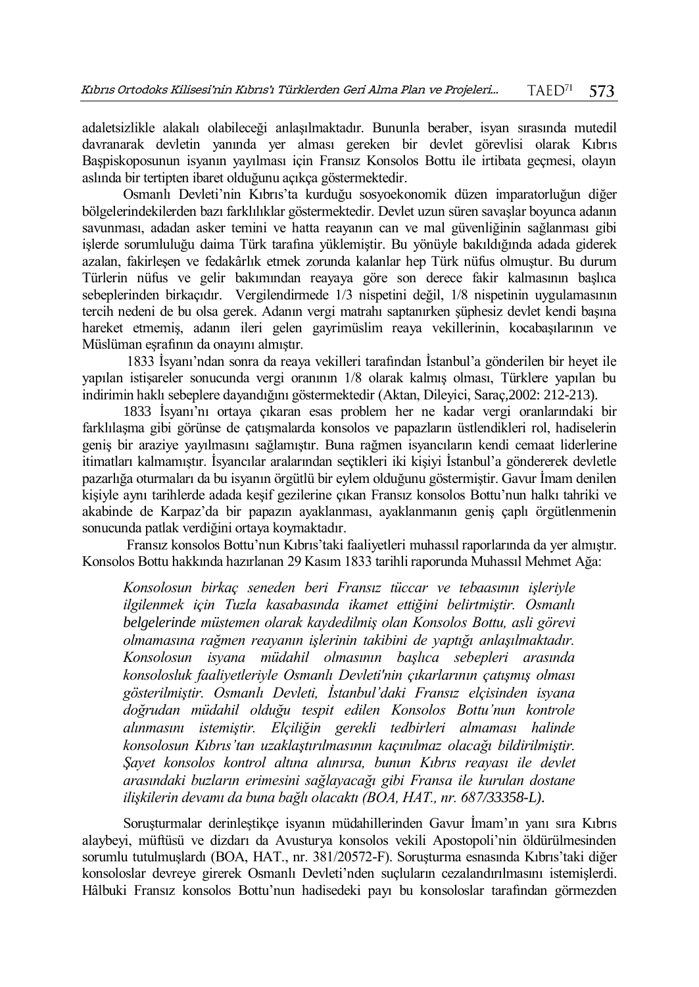adaletsizlikle alakalı olabileceği anlaşılmaktadır. Bununla beraber, isyan sırasında mutedil davranarak devletin yanında yer alması gereken bir devlet görevlisi olarak Kıbrıs Başpiskoposunun isyanın yayılması için Fransız Konsolos Bottu ile irtibata geçmesi, olayın aslında bir tertipten ibaret olduğunu açıkça göstermektedir.

Osmanlı Devleti'nin Kıbrıs'ta kurduğu sosyoekonomik düzen imparatorluğun diğer bölgelerindekilerden bazı farklılıklar göstermektedir. Devlet uzun süren savaşlar boyunca adanın savunması, adadan asker temini ve hatta reayanın can ve mal güvenliğinin sağlanması gibi işlerde sorumluluğu daima Türk tarafına yüklemiştir. Bu yönüyle bakıldığında adada giderek azalan, fakirleşen ve fedakârlık etmek zorunda kalanlar hep Türk nüfus olmuştur. Bu durum Türlerin nüfus ve gelir bakımından reayaya göre son derece fakir kalmasının başlıca sebeplerinden birkaçıdır. Vergilendirmede 1/3 nispetini değil, 1/8 nispetinin uygulamasının tercih nedeni de bu olsa gerek. Adanın vergi matrahı saptanırken şüphesiz devlet kendi başına hareket etmemiş, adanın ileri gelen gayrimüslim reaya vekillerinin, kocabaşılarının ve Müslüman eşrafının da onayını almıştır.

1833 İsyanı'ndan sonra da reaya vekilleri tarafından İstanbul'a gönderilen bir heyet ile yapılan istişareler sonucunda vergi oranının 1/8 olarak kalmış olması, Türklere yapılan bu indirimin haklı sebeplere dayandığını göstermektedir (Aktan, Dileyici, Saraç*,*2002: 212-213).

1833 İsyanı'nı ortaya çıkaran esas problem her ne kadar vergi oranlarındaki bir farklılaşma gibi görünse de çatışmalarda konsolos ve papazların üstlendikleri rol, hadiselerin geniş bir araziye yayılmasını sağlamıştır. Buna rağmen isyancıların kendi cemaat liderlerine itimatları kalmamıştır. İsyancılar aralarından seçtikleri iki kişiyi İstanbul'a göndererek devletle pazarlığa oturmaları da bu isyanın örgütlü bir eylem olduğunu göstermiştir. Gavur İmam denilen kişiyle aynı tarihlerde adada keşif gezilerine çıkan Fransız konsolos Bottu'nun halkı tahriki ve akabinde de Karpaz'da bir papazın ayaklanması, ayaklanmanın geniş çaplı örgütlenmenin sonucunda patlak verdiğini ortaya koymaktadır.

Fransız konsolos Bottu'nun Kıbrıs'taki faaliyetleri muhassıl raporlarında da yer almıştır. Konsolos Bottu hakkında hazırlanan 29 Kasım 1833 tarihli raporunda Muhassıl Mehmet Ağa:

*Konsolosun birkaç seneden beri Fransız tüccar ve tebaasının işleriyle ilgilenmek için Tuzla kasabasında ikamet ettiğini belirtmiştir. Osmanlı belgelerinde müstemen olarak kaydedilmiş olan Konsolos Bottu, asli görevi olmamasına rağmen reayanın işlerinin takibini de yaptığı anlaşılmaktadır. Konsolosun isyana müdahil olmasının başlıca sebepleri arasında konsolosluk faaliyetleriyle Osmanlı Devleti'nin çıkarlarının çatışmış olması gösterilmiştir. Osmanlı Devleti, İstanbul'daki Fransız elçisinden isyana doğrudan müdahil olduğu tespit edilen Konsolos Bottu'nun kontrole alınmasını istemiştir. Elçiliğin gerekli tedbirleri almaması halinde konsolosun Kıbrıs'tan uzaklaştırılmasının kaçınılmaz olacağı bildirilmiştir. Şayet konsolos kontrol altına alınırsa, bunun Kıbrıs reayası ile devlet arasındaki buzların erimesini sağlayacağı gibi Fransa ile kurulan dostane ilişkilerin devamı da buna bağlı olacaktı (BOA, HAT., nr. 687/33358-L).* 

Soruşturmalar derinleştikçe isyanın müdahillerinden Gavur İmam'ın yanı sıra Kıbrıs alaybeyi, müftüsü ve dizdarı da Avusturya konsolos vekili Apostopoli'nin öldürülmesinden sorumlu tutulmuşlardı (BOA, HAT., nr. 381/20572-F). Soruşturma esnasında Kıbrıs'taki diğer konsoloslar devreye girerek Osmanlı Devleti'nden suçluların cezalandırılmasını istemişlerdi. Hâlbuki Fransız konsolos Bottu'nun hadisedeki payı bu konsoloslar tarafından görmezden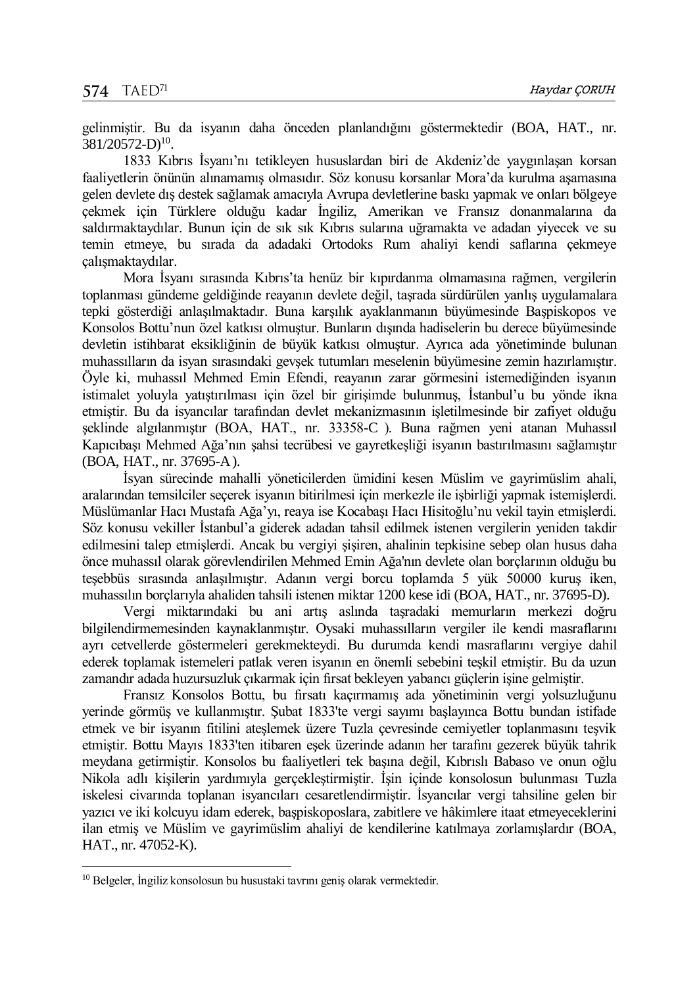gelinmiştir. Bu da isyanın daha önceden planlandığını göstermektedir (BOA, HAT., nr.  $381/20572-D$ <sup>10</sup>.

1833 Kıbrıs İsyanı'nı tetikleyen hususlardan biri de Akdeniz'de yaygınlaşan korsan faaliyetlerin önünün alınamamış olmasıdır. Söz konusu korsanlar Mora'da kurulma aşamasına gelen devlete dış destek sağlamak amacıyla Avrupa devletlerine baskı yapmak ve onları bölgeye çekmek için Türklere olduğu kadar İngiliz, Amerikan ve Fransız donanmalarına da saldırmaktaydılar. Bunun için de sık sık Kıbrıs sularına uğramakta ve adadan yiyecek ve su temin etmeye, bu sırada da adadaki Ortodoks Rum ahaliyi kendi saflarına çekmeye çalışmaktaydılar.

Mora İsyanı sırasında Kıbrıs'ta henüz bir kıpırdanma olmamasına rağmen, vergilerin toplanması gündeme geldiğinde reayanın devlete değil, taşrada sürdürülen yanlış uygulamalara tepki gösterdiği anlaşılmaktadır. Buna karşılık ayaklanmanın büyümesinde Başpiskopos ve Konsolos Bottu'nun özel katkısı olmuştur. Bunların dışında hadiselerin bu derece büyümesinde devletin istihbarat eksikliğinin de büyük katkısı olmuştur. Ayrıca ada yönetiminde bulunan muhassılların da isyan sırasındaki gevşek tutumları meselenin büyümesine zemin hazırlamıştır. Öyle ki, muhassıl Mehmed Emin Efendi, reayanın zarar görmesini istemediğinden isyanın istimalet yoluyla yatıştırılması için özel bir girişimde bulunmuş, İstanbul'u bu yönde ikna etmiştir. Bu da isyancılar tarafından devlet mekanizmasının işletilmesinde bir zafiyet olduğu şeklinde algılanmıştır (BOA, HAT., nr. 33358-C ). Buna rağmen yeni atanan Muhassıl Kapıcıbaşı Mehmed Ağa'nın şahsi tecrübesi ve gayretkeşliği isyanın bastırılmasını sağlamıştır (BOA, HAT., nr. 37695-A).

İsyan sürecinde mahalli yöneticilerden ümidini kesen Müslim ve gayrimüslim ahali, aralarından temsilciler seçerek isyanın bitirilmesi için merkezle ile işbirliği yapmak istemişlerdi. Müslümanlar Hacı Mustafa Ağa'yı, reaya ise Kocabaşı Hacı Hisitoğlu'nu vekil tayin etmişlerdi. Söz konusu vekiller İstanbul'a giderek adadan tahsil edilmek istenen vergilerin yeniden takdir edilmesini talep etmişlerdi. Ancak bu vergiyi şişiren, ahalinin tepkisine sebep olan husus daha önce muhassıl olarak görevlendirilen Mehmed Emin Ağa'nın devlete olan borçlarının olduğu bu teşebbüs sırasında anlaşılmıştır. Adanın vergi borcu toplamda 5 yük 50000 kuruş iken, muhassılın borçlarıyla ahaliden tahsili istenen miktar 1200 kese idi (BOA, HAT., nr. 37695-D).

Vergi miktarındaki bu ani artış aslında taşradaki memurların merkezi doğru bilgilendirmemesinden kaynaklanmıştır. Oysaki muhassılların vergiler ile kendi masraflarını ayrı cetvellerde göstermeleri gerekmekteydi. Bu durumda kendi masraflarını vergiye dahil ederek toplamak istemeleri patlak veren isyanın en önemli sebebini teşkil etmiştir. Bu da uzun zamandır adada huzursuzluk çıkarmak için fırsat bekleyen yabancı güçlerin işine gelmiştir.

Fransız Konsolos Bottu, bu fırsatı kaçırmamış ada yönetiminin vergi yolsuzluğunu yerinde görmüş ve kullanmıştır. Şubat 1833'te vergi sayımı başlayınca Bottu bundan istifade etmek ve bir isyanın fitilini ateşlemek üzere Tuzla çevresinde cemiyetler toplanmasını teşvik etmiştir. Bottu Mayıs 1833'ten itibaren eşek üzerinde adanın her tarafını gezerek büyük tahrik meydana getirmiştir. Konsolos bu faaliyetleri tek başına değil, Kıbrıslı Babaso ve onun oğlu Nikola adlı kişilerin yardımıyla gerçekleştirmiştir. İşin içinde konsolosun bulunması Tuzla iskelesi civarında toplanan isyancıları cesaretlendirmiştir. İsyancılar vergi tahsiline gelen bir yazıcı ve iki kolcuyu idam ederek, başpiskoposlara, zabitlere ve hâkimlere itaat etmeyeceklerini ilan etmiş ve Müslim ve gayrimüslim ahaliyi de kendilerine katılmaya zorlamışlardır (BOA, HAT., nr. 47052-K).

 $\overline{a}$ 

<sup>10</sup> Belgeler, İngiliz konsolosun bu husustaki tavrını geniş olarak vermektedir.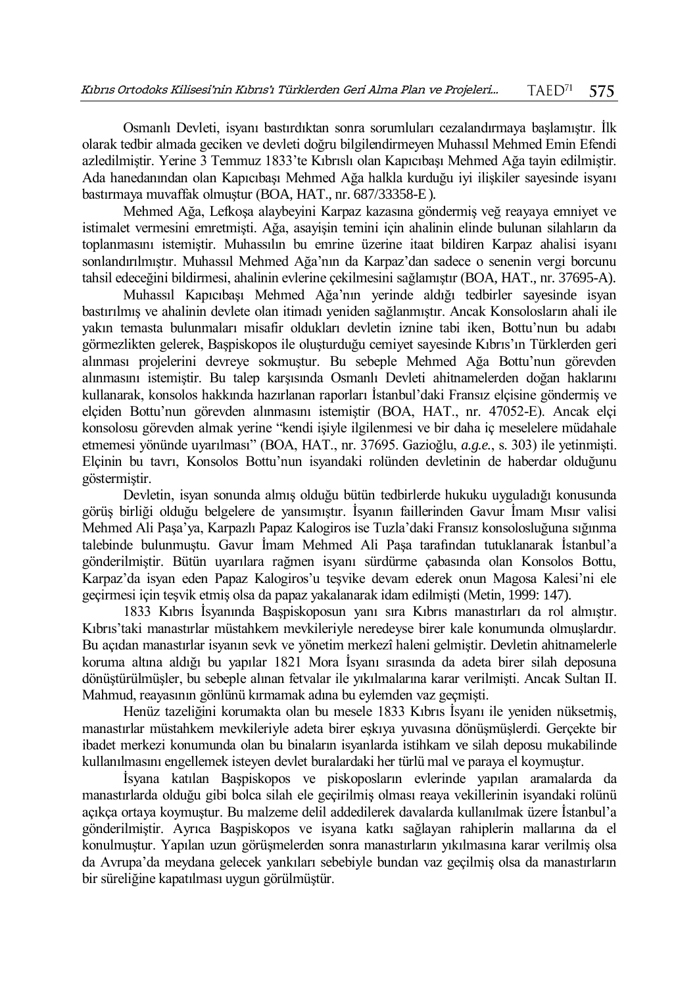Osmanlı Devleti, isyanı bastırdıktan sonra sorumluları cezalandırmaya başlamıştır. İlk olarak tedbir almada geciken ve devleti doğru bilgilendirmeyen Muhassıl Mehmed Emin Efendi azledilmiştir. Yerine 3 Temmuz 1833'te Kıbrıslı olan Kapıcıbaşı Mehmed Ağa tayin edilmiştir. Ada hanedanından olan Kapıcıbaşı Mehmed Ağa halkla kurduğu iyi ilişkiler sayesinde isyanı bastırmaya muvaffak olmuştur (BOA, HAT., nr. 687/33358-E).

Mehmed Ağa, Lefkoşa alaybeyini Karpaz kazasına göndermiş veğ reayaya emniyet ve istimalet vermesini emretmişti. Ağa, asayişin temini için ahalinin elinde bulunan silahların da toplanmasını istemiştir. Muhassılın bu emrine üzerine itaat bildiren Karpaz ahalisi isyanı sonlandırılmıştır. Muhassıl Mehmed Ağa'nın da Karpaz'dan sadece o senenin vergi borcunu tahsil edeceğini bildirmesi, ahalinin evlerine çekilmesini sağlamıştır (BOA, HAT., nr. 37695-A).

Muhassıl Kapıcıbaşı Mehmed Ağa'nın yerinde aldığı tedbirler sayesinde isyan bastırılmış ve ahalinin devlete olan itimadı yeniden sağlanmıştır. Ancak Konsolosların ahali ile yakın temasta bulunmaları misafir oldukları devletin iznine tabi iken, Bottu'nun bu adabı görmezlikten gelerek, Başpiskopos ile oluşturduğu cemiyet sayesinde Kıbrıs'ın Türklerden geri alınması projelerini devreye sokmuştur. Bu sebeple Mehmed Ağa Bottu'nun görevden alınmasını istemiştir. Bu talep karşısında Osmanlı Devleti ahitnamelerden doğan haklarını kullanarak, konsolos hakkında hazırlanan raporları İstanbul'daki Fransız elçisine göndermiş ve elçiden Bottu'nun görevden alınmasını istemiştir (BOA, HAT., nr. 47052-E). Ancak elçi konsolosu görevden almak yerine "kendi işiyle ilgilenmesi ve bir daha iç meselelere müdahale etmemesi yönünde uyarılması" (BOA, HAT., nr. 37695. Gazioğlu, *a.g.e.*, s. 303) ile yetinmişti. Elçinin bu tavrı, Konsolos Bottu'nun isyandaki rolünden devletinin de haberdar olduğunu göstermiştir.

Devletin, isyan sonunda almış olduğu bütün tedbirlerde hukuku uyguladığı konusunda görüş birliği olduğu belgelere de yansımıştır. İsyanın faillerinden Gavur İmam Mısır valisi Mehmed Ali Paşa'ya, Karpazlı Papaz Kalogiros ise Tuzla'daki Fransız konsolosluğuna sığınma talebinde bulunmuştu. Gavur İmam Mehmed Ali Paşa tarafından tutuklanarak İstanbul'a gönderilmiştir. Bütün uyarılara rağmen isyanı sürdürme çabasında olan Konsolos Bottu, Karpaz'da isyan eden Papaz Kalogiros'u teşvike devam ederek onun Magosa Kalesi'ni ele geçirmesi için teşvik etmiş olsa da papaz yakalanarak idam edilmişti (Metin, 1999: 147).

1833 Kıbrıs İsyanında Başpiskoposun yanı sıra Kıbrıs manastırları da rol almıştır. Kıbrıs'taki manastırlar müstahkem mevkileriyle neredeyse birer kale konumunda olmuşlardır. Bu açıdan manastırlar isyanın sevk ve yönetim merkezî haleni gelmiştir. Devletin ahitnamelerle koruma altına aldığı bu yapılar 1821 Mora İsyanı sırasında da adeta birer silah deposuna dönüştürülmüşler, bu sebeple alınan fetvalar ile yıkılmalarına karar verilmişti. Ancak Sultan II. Mahmud, reayasının gönlünü kırmamak adına bu eylemden vaz geçmişti.

Henüz tazeliğini korumakta olan bu mesele 1833 Kıbrıs İsyanı ile yeniden nüksetmiş, manastırlar müstahkem mevkileriyle adeta birer eşkıya yuvasına dönüşmüşlerdi. Gerçekte bir ibadet merkezi konumunda olan bu binaların isyanlarda istihkam ve silah deposu mukabilinde kullanılmasını engellemek isteyen devlet buralardaki her türlü mal ve paraya el koymuştur.

İsyana katılan Başpiskopos ve piskoposların evlerinde yapılan aramalarda da manastırlarda olduğu gibi bolca silah ele geçirilmiş olması reaya vekillerinin isyandaki rolünü açıkça ortaya koymuştur. Bu malzeme delil addedilerek davalarda kullanılmak üzere İstanbul'a gönderilmiştir. Ayrıca Başpiskopos ve isyana katkı sağlayan rahiplerin mallarına da el konulmuştur. Yapılan uzun görüşmelerden sonra manastırların yıkılmasına karar verilmiş olsa da Avrupa'da meydana gelecek yankıları sebebiyle bundan vaz geçilmiş olsa da manastırların bir süreliğine kapatılması uygun görülmüştür.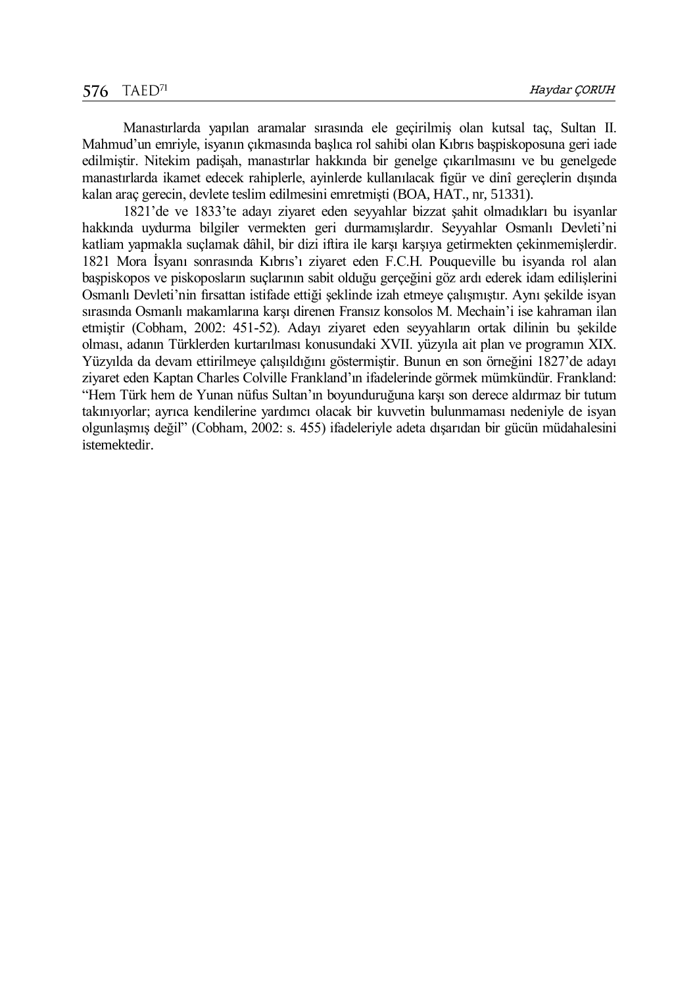Manastırlarda yapılan aramalar sırasında ele geçirilmiş olan kutsal taç, Sultan II. Mahmud'un emriyle, isyanın çıkmasında başlıca rol sahibi olan Kıbrıs başpiskoposuna geri iade edilmiştir. Nitekim padişah, manastırlar hakkında bir genelge çıkarılmasını ve bu genelgede manastırlarda ikamet edecek rahiplerle, ayinlerde kullanılacak figür ve dinî gereçlerin dışında kalan araç gerecin, devlete teslim edilmesini emretmişti (BOA, HAT., nr, 51331).

1821'de ve 1833'te adayı ziyaret eden seyyahlar bizzat şahit olmadıkları bu isyanlar hakkında uydurma bilgiler vermekten geri durmamışlardır. Seyyahlar Osmanlı Devleti'ni katliam yapmakla suçlamak dâhil, bir dizi iftira ile karşı karşıya getirmekten çekinmemişlerdir. 1821 Mora İsyanı sonrasında Kıbrıs'ı ziyaret eden F.C.H. Pouqueville bu isyanda rol alan başpiskopos ve piskoposların suçlarının sabit olduğu gerçeğini göz ardı ederek idam edilişlerini Osmanlı Devleti'nin fırsattan istifade ettiği şeklinde izah etmeye çalışmıştır. Aynı şekilde isyan sırasında Osmanlı makamlarına karşı direnen Fransız konsolos M. Mechain'i ise kahraman ilan etmiştir (Cobham, 2002: 451-52). Adayı ziyaret eden seyyahların ortak dilinin bu şekilde olması, adanın Türklerden kurtarılması konusundaki XVII. yüzyıla ait plan ve programın XIX. Yüzyılda da devam ettirilmeye çalışıldığını göstermiştir. Bunun en son örneğini 1827'de adayı ziyaret eden Kaptan Charles Colville Frankland'ın ifadelerinde görmek mümkündür. Frankland: "Hem Türk hem de Yunan nüfus Sultan'ın boyunduruğuna karşı son derece aldırmaz bir tutum takınıyorlar; ayrıca kendilerine yardımcı olacak bir kuvvetin bulunmaması nedeniyle de isyan olgunlaşmış değil" (Cobham, 2002: s. 455) ifadeleriyle adeta dışarıdan bir gücün müdahalesini istemektedir.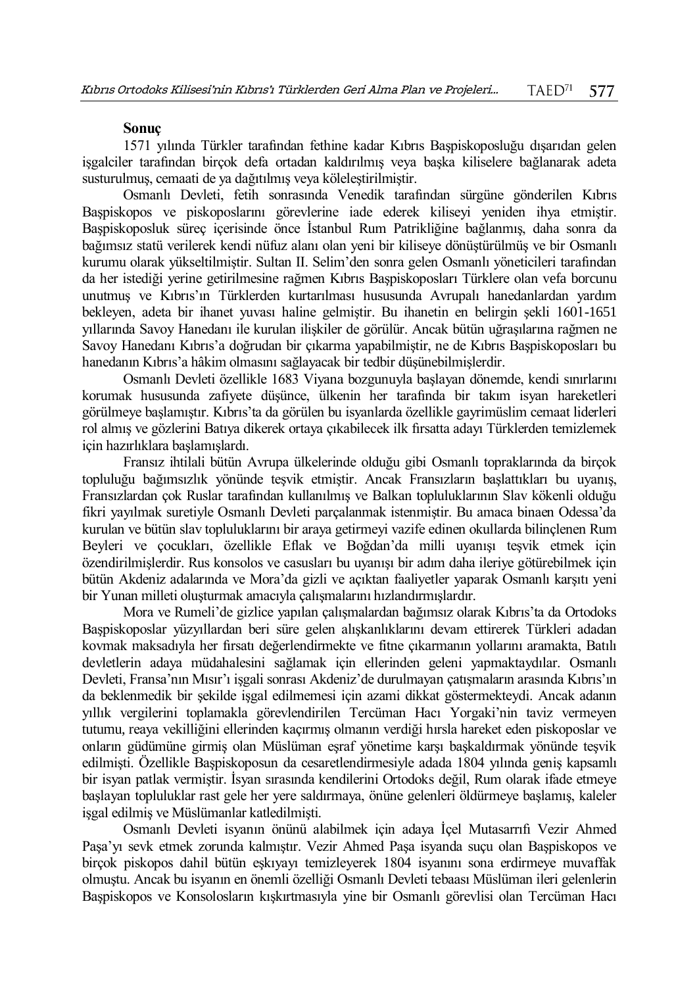#### **Sonuç**

1571 yılında Türkler tarafından fethine kadar Kıbrıs Başpiskoposluğu dışarıdan gelen işgalciler tarafından birçok defa ortadan kaldırılmış veya başka kiliselere bağlanarak adeta susturulmuş, cemaati de ya dağıtılmış veya köleleştirilmiştir.

Osmanlı Devleti, fetih sonrasında Venedik tarafından sürgüne gönderilen Kıbrıs Başpiskopos ve piskoposlarını görevlerine iade ederek kiliseyi yeniden ihya etmiştir. Başpiskoposluk süreç içerisinde önce İstanbul Rum Patrikliğine bağlanmış, daha sonra da bağımsız statü verilerek kendi nüfuz alanı olan yeni bir kiliseye dönüştürülmüş ve bir Osmanlı kurumu olarak yükseltilmiştir. Sultan II. Selim'den sonra gelen Osmanlı yöneticileri tarafından da her istediği yerine getirilmesine rağmen Kıbrıs Başpiskoposları Türklere olan vefa borcunu unutmuş ve Kıbrıs'ın Türklerden kurtarılması hususunda Avrupalı hanedanlardan yardım bekleyen, adeta bir ihanet yuvası haline gelmiştir. Bu ihanetin en belirgin şekli 1601-1651 yıllarında Savoy Hanedanı ile kurulan ilişkiler de görülür. Ancak bütün uğraşılarına rağmen ne Savoy Hanedanı Kıbrıs'a doğrudan bir çıkarma yapabilmiştir, ne de Kıbrıs Başpiskoposları bu hanedanın Kıbrıs'a hâkim olmasını sağlayacak bir tedbir düşünebilmişlerdir.

Osmanlı Devleti özellikle 1683 Viyana bozgunuyla başlayan dönemde, kendi sınırlarını korumak hususunda zafiyete düşünce, ülkenin her tarafında bir takım isyan hareketleri görülmeye başlamıştır. Kıbrıs'ta da görülen bu isyanlarda özellikle gayrimüslim cemaat liderleri rol almış ve gözlerini Batıya dikerek ortaya çıkabilecek ilk fırsatta adayı Türklerden temizlemek için hazırlıklara başlamışlardı.

Fransız ihtilali bütün Avrupa ülkelerinde olduğu gibi Osmanlı topraklarında da birçok topluluğu bağımsızlık yönünde teşvik etmiştir. Ancak Fransızların başlattıkları bu uyanış, Fransızlardan çok Ruslar tarafından kullanılmış ve Balkan topluluklarının Slav kökenli olduğu fikri yayılmak suretiyle Osmanlı Devleti parçalanmak istenmiştir. Bu amaca binaen Odessa'da kurulan ve bütün slav topluluklarını bir araya getirmeyi vazife edinen okullarda bilinçlenen Rum Beyleri ve çocukları, özellikle Eflak ve Boğdan'da milli uyanışı teşvik etmek için özendirilmişlerdir. Rus konsolos ve casusları bu uyanışı bir adım daha ileriye götürebilmek için bütün Akdeniz adalarında ve Mora'da gizli ve açıktan faaliyetler yaparak Osmanlı karşıtı yeni bir Yunan milleti oluşturmak amacıyla çalışmalarını hızlandırmışlardır.

Mora ve Rumeli'de gizlice yapılan çalışmalardan bağımsız olarak Kıbrıs'ta da Ortodoks Başpiskoposlar yüzyıllardan beri süre gelen alışkanlıklarını devam ettirerek Türkleri adadan kovmak maksadıyla her fırsatı değerlendirmekte ve fitne çıkarmanın yollarını aramakta, Batılı devletlerin adaya müdahalesini sağlamak için ellerinden geleni yapmaktaydılar. Osmanlı Devleti, Fransa'nın Mısır'ı işgali sonrası Akdeniz'de durulmayan çatışmaların arasında Kıbrıs'ın da beklenmedik bir şekilde işgal edilmemesi için azami dikkat göstermekteydi. Ancak adanın yıllık vergilerini toplamakla görevlendirilen Tercüman Hacı Yorgaki'nin taviz vermeyen tutumu, reaya vekilliğini ellerinden kaçırmış olmanın verdiği hırsla hareket eden piskoposlar ve onların güdümüne girmiş olan Müslüman eşraf yönetime karşı başkaldırmak yönünde teşvik edilmişti. Özellikle Başpiskoposun da cesaretlendirmesiyle adada 1804 yılında geniş kapsamlı bir isyan patlak vermiştir. İsyan sırasında kendilerini Ortodoks değil, Rum olarak ifade etmeye başlayan topluluklar rast gele her yere saldırmaya, önüne gelenleri öldürmeye başlamış, kaleler işgal edilmiş ve Müslümanlar katledilmişti.

Osmanlı Devleti isyanın önünü alabilmek için adaya İçel Mutasarrıfı Vezir Ahmed Paşa'yı sevk etmek zorunda kalmıştır. Vezir Ahmed Paşa isyanda suçu olan Başpiskopos ve birçok piskopos dahil bütün eşkıyayı temizleyerek 1804 isyanını sona erdirmeye muvaffak olmuştu. Ancak bu isyanın en önemli özelliği Osmanlı Devleti tebaası Müslüman ileri gelenlerin Başpiskopos ve Konsolosların kışkırtmasıyla yine bir Osmanlı görevlisi olan Tercüman Hacı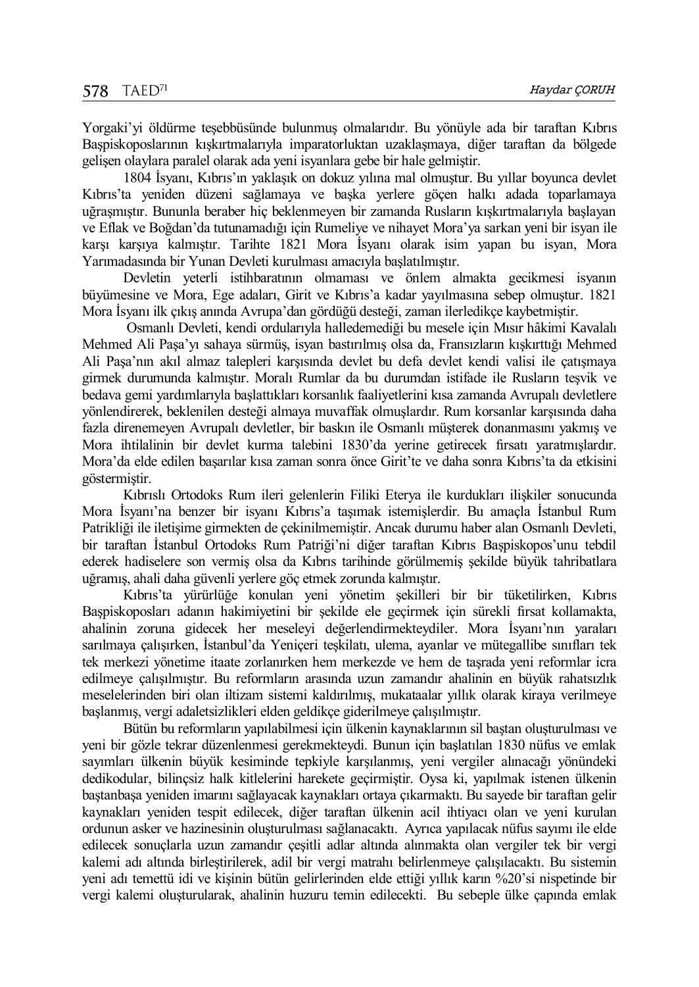Yorgaki'yi öldürme teşebbüsünde bulunmuş olmalarıdır. Bu yönüyle ada bir taraftan Kıbrıs Başpiskoposlarının kışkırtmalarıyla imparatorluktan uzaklaşmaya, diğer taraftan da bölgede gelişen olaylara paralel olarak ada yeni isyanlara gebe bir hale gelmiştir.

1804 İsyanı, Kıbrıs'ın yaklaşık on dokuz yılına mal olmuştur. Bu yıllar boyunca devlet Kıbrıs'ta yeniden düzeni sağlamaya ve başka yerlere göçen halkı adada toparlamaya uğraşmıştır. Bununla beraber hiç beklenmeyen bir zamanda Rusların kışkırtmalarıyla başlayan ve Eflak ve Boğdan'da tutunamadığı için Rumeliye ve nihayet Mora'ya sarkan yeni bir isyan ile karşı karşıya kalmıştır. Tarihte 1821 Mora İsyanı olarak isim yapan bu isyan, Mora Yarımadasında bir Yunan Devleti kurulması amacıyla başlatılmıştır.

Devletin yeterli istihbaratının olmaması ve önlem almakta gecikmesi isyanın büyümesine ve Mora, Ege adaları, Girit ve Kıbrıs'a kadar yayılmasına sebep olmuştur. 1821 Mora İsyanı ilk çıkış anında Avrupa'dan gördüğü desteği, zaman ilerledikçe kaybetmiştir.

Osmanlı Devleti, kendi ordularıyla halledemediği bu mesele için Mısır hâkimi Kavalalı Mehmed Ali Paşa'yı sahaya sürmüş, isyan bastırılmış olsa da, Fransızların kışkırttığı Mehmed Ali Paşa'nın akıl almaz talepleri karşısında devlet bu defa devlet kendi valisi ile çatışmaya girmek durumunda kalmıştır. Moralı Rumlar da bu durumdan istifade ile Rusların teşvik ve bedava gemi yardımlarıyla başlattıkları korsanlık faaliyetlerini kısa zamanda Avrupalı devletlere yönlendirerek, beklenilen desteği almaya muvaffak olmuşlardır. Rum korsanlar karşısında daha fazla direnemeyen Avrupalı devletler, bir baskın ile Osmanlı müşterek donanmasını yakmış ve Mora ihtilalinin bir devlet kurma talebini 1830'da yerine getirecek fırsatı yaratmışlardır. Mora'da elde edilen başarılar kısa zaman sonra önce Girit'te ve daha sonra Kıbrıs'ta da etkisini göstermiştir.

Kıbrıslı Ortodoks Rum ileri gelenlerin Filiki Eterya ile kurdukları ilişkiler sonucunda Mora İsyanı'na benzer bir isyanı Kıbrıs'a taşımak istemişlerdir. Bu amaçla İstanbul Rum Patrikliği ile iletişime girmekten de çekinilmemiştir. Ancak durumu haber alan Osmanlı Devleti, bir taraftan İstanbul Ortodoks Rum Patriği'ni diğer taraftan Kıbrıs Başpiskopos'unu tebdil ederek hadiselere son vermiş olsa da Kıbrıs tarihinde görülmemiş şekilde büyük tahribatlara uğramış, ahali daha güvenli yerlere göç etmek zorunda kalmıştır.

Kıbrıs'ta yürürlüğe konulan yeni yönetim şekilleri bir bir tüketilirken, Kıbrıs Başpiskoposları adanın hakimiyetini bir şekilde ele geçirmek için sürekli fırsat kollamakta, ahalinin zoruna gidecek her meseleyi değerlendirmekteydiler. Mora İsyanı'nın yaraları sarılmaya çalışırken, İstanbul'da Yeniçeri teşkilatı, ulema, ayanlar ve mütegallibe sınıfları tek tek merkezi yönetime itaate zorlanırken hem merkezde ve hem de taşrada yeni reformlar icra edilmeye çalışılmıştır. Bu reformların arasında uzun zamandır ahalinin en büyük rahatsızlık meselelerinden biri olan iltizam sistemi kaldırılmış, mukataalar yıllık olarak kiraya verilmeye başlanmış, vergi adaletsizlikleri elden geldikçe giderilmeye çalışılmıştır.

Bütün bu reformların yapılabilmesi için ülkenin kaynaklarının sil baştan oluşturulması ve yeni bir gözle tekrar düzenlenmesi gerekmekteydi. Bunun için başlatılan 1830 nüfus ve emlak sayımları ülkenin büyük kesiminde tepkiyle karşılanmış, yeni vergiler alınacağı yönündeki dedikodular, bilinçsiz halk kitlelerini harekete geçirmiştir. Oysa ki, yapılmak istenen ülkenin baştanbaşa yeniden imarını sağlayacak kaynakları ortaya çıkarmaktı. Bu sayede bir taraftan gelir kaynakları yeniden tespit edilecek, diğer taraftan ülkenin acil ihtiyacı olan ve yeni kurulan ordunun asker ve hazinesinin oluşturulması sağlanacaktı. Ayrıca yapılacak nüfus sayımı ile elde edilecek sonuçlarla uzun zamandır çeşitli adlar altında alınmakta olan vergiler tek bir vergi kalemi adı altında birleştirilerek, adil bir vergi matrahı belirlenmeye çalışılacaktı. Bu sistemin yeni adı temettü idi ve kişinin bütün gelirlerinden elde ettiği yıllık karın %20'si nispetinde bir vergi kalemi oluşturularak, ahalinin huzuru temin edilecekti. Bu sebeple ülke çapında emlak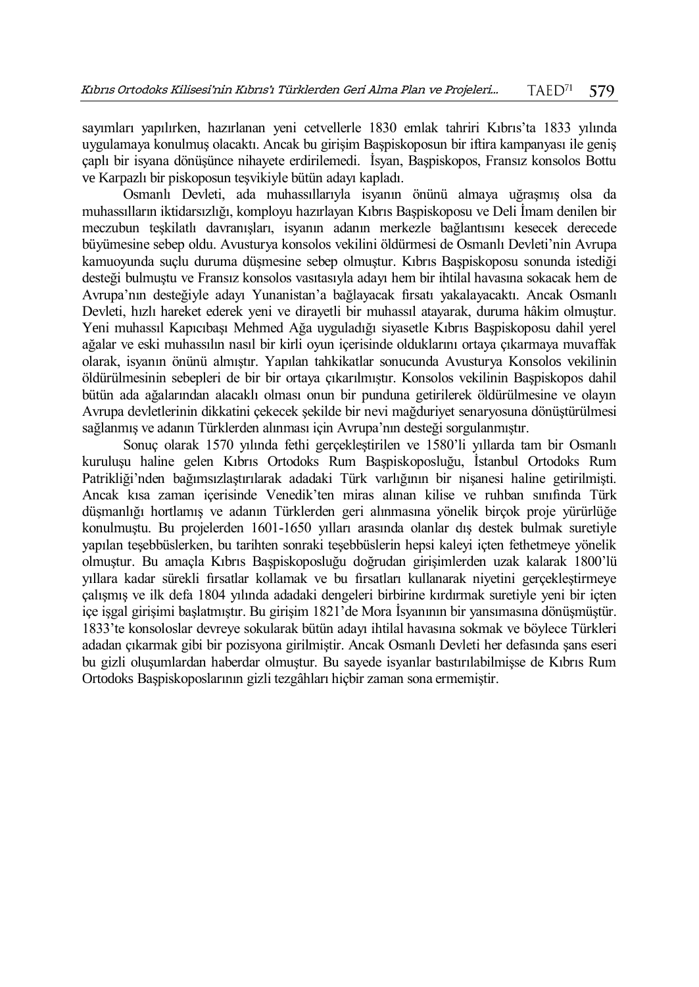sayımları yapılırken, hazırlanan yeni cetvellerle 1830 emlak tahriri Kıbrıs'ta 1833 yılında uygulamaya konulmuş olacaktı. Ancak bu girişim Başpiskoposun bir iftira kampanyası ile geniş çaplı bir isyana dönüşünce nihayete erdirilemedi. İsyan, Başpiskopos, Fransız konsolos Bottu ve Karpazlı bir piskoposun teşvikiyle bütün adayı kapladı.

Osmanlı Devleti, ada muhassıllarıyla isyanın önünü almaya uğraşmış olsa da muhassılların iktidarsızlığı, komployu hazırlayan Kıbrıs Başpiskoposu ve Deli İmam denilen bir meczubun teşkilatlı davranışları, isyanın adanın merkezle bağlantısını kesecek derecede büyümesine sebep oldu. Avusturya konsolos vekilini öldürmesi de Osmanlı Devleti'nin Avrupa kamuoyunda suçlu duruma düşmesine sebep olmuştur. Kıbrıs Başpiskoposu sonunda istediği desteği bulmuştu ve Fransız konsolos vasıtasıyla adayı hem bir ihtilal havasına sokacak hem de Avrupa'nın desteğiyle adayı Yunanistan'a bağlayacak fırsatı yakalayacaktı. Ancak Osmanlı Devleti, hızlı hareket ederek yeni ve dirayetli bir muhassıl atayarak, duruma hâkim olmuştur. Yeni muhassıl Kapıcıbaşı Mehmed Ağa uyguladığı siyasetle Kıbrıs Başpiskoposu dahil yerel ağalar ve eski muhassılın nasıl bir kirli oyun içerisinde olduklarını ortaya çıkarmaya muvaffak olarak, isyanın önünü almıştır. Yapılan tahkikatlar sonucunda Avusturya Konsolos vekilinin öldürülmesinin sebepleri de bir bir ortaya çıkarılmıştır. Konsolos vekilinin Başpiskopos dahil bütün ada ağalarından alacaklı olması onun bir punduna getirilerek öldürülmesine ve olayın Avrupa devletlerinin dikkatini çekecek şekilde bir nevi mağduriyet senaryosuna dönüştürülmesi sağlanmış ve adanın Türklerden alınması için Avrupa'nın desteği sorgulanmıştır.

Sonuç olarak 1570 yılında fethi gerçekleştirilen ve 1580'li yıllarda tam bir Osmanlı kuruluşu haline gelen Kıbrıs Ortodoks Rum Başpiskoposluğu, İstanbul Ortodoks Rum Patrikliği'nden bağımsızlaştırılarak adadaki Türk varlığının bir nişanesi haline getirilmişti. Ancak kısa zaman içerisinde Venedik'ten miras alınan kilise ve ruhban sınıfında Türk düşmanlığı hortlamış ve adanın Türklerden geri alınmasına yönelik birçok proje yürürlüğe konulmuştu. Bu projelerden 1601-1650 yılları arasında olanlar dış destek bulmak suretiyle yapılan teşebbüslerken, bu tarihten sonraki teşebbüslerin hepsi kaleyi içten fethetmeye yönelik olmuştur. Bu amaçla Kıbrıs Başpiskoposluğu doğrudan girişimlerden uzak kalarak 1800'lü yıllara kadar sürekli fırsatlar kollamak ve bu fırsatları kullanarak niyetini gerçekleştirmeye çalışmış ve ilk defa 1804 yılında adadaki dengeleri birbirine kırdırmak suretiyle yeni bir içten içe işgal girişimi başlatmıştır. Bu girişim 1821'de Mora İsyanının bir yansımasına dönüşmüştür. 1833'te konsoloslar devreye sokularak bütün adayı ihtilal havasına sokmak ve böylece Türkleri adadan çıkarmak gibi bir pozisyona girilmiştir. Ancak Osmanlı Devleti her defasında şans eseri bu gizli oluşumlardan haberdar olmuştur. Bu sayede isyanlar bastırılabilmişse de Kıbrıs Rum Ortodoks Başpiskoposlarının gizli tezgâhları hiçbir zaman sona ermemiştir.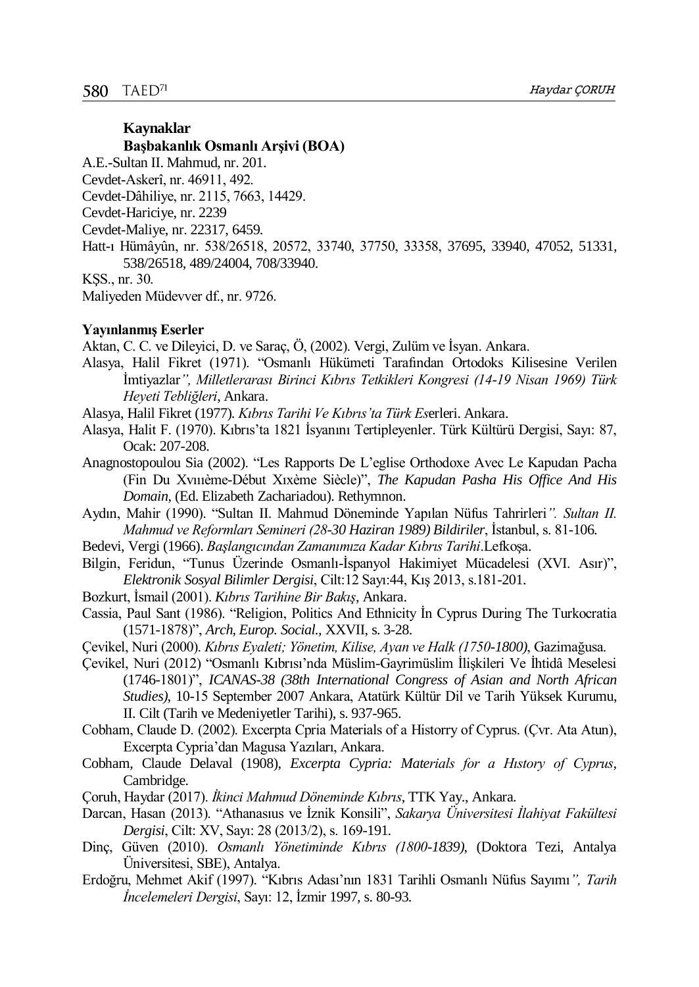# **Kaynaklar Başbakanlık Osmanlı Arşivi (BOA)**

A.E.-Sultan II. Mahmud, nr. 201.

Cevdet-Askerî, nr. 46911, 492.

Cevdet-Dâhiliye, nr. 2115, 7663, 14429.

- Cevdet-Hariciye, nr. 2239
- Cevdet-Maliye, nr. 22317, 6459.
- Hatt-ı Hümâyûn, nr. 538/26518, 20572, 33740, 37750, 33358, 37695, 33940, 47052, 51331, 538/26518, 489/24004, 708/33940.

KŞS., nr. 30.

Maliyeden Müdevver df., nr. 9726.

#### **Yayınlanmış Eserler**

Aktan, C. C. ve Dileyici, D. ve Saraç, Ö, (2002). Vergi, Zulüm ve İsyan. Ankara.

Alasya, Halil Fikret (1971). "Osmanlı Hükümeti Tarafından Ortodoks Kilisesine Verilen İmtiyazlar*", Milletlerarası Birinci Kıbrıs Tetkikleri Kongresi (14-19 Nisan 1969) Türk Heyeti Tebliğleri*, Ankara.

Alasya, Halil Fikret (1977). *Kıbrıs Tarihi Ve Kıbrıs'ta Türk Es*erleri. Ankara.

Alasya, Halit F. (1970). Kıbrıs'ta 1821 İsyanını Tertipleyenler. Türk Kültürü Dergisi, Sayı: 87, Ocak: 207-208.

Anagnostopoulou Sia (2002). "Les Rapports De L'eglise Orthodoxe Avec Le Kapudan Pacha (Fin Du Xvıııème-Début Xıxème Siècle)", *The Kapudan Pasha His Office And His Domain*, (Ed. Elizabeth Zachariadou). Rethymnon.

Aydın, Mahir (1990). "Sultan II. Mahmud Döneminde Yapılan Nüfus Tahrirleri*". Sultan II. Mahmud ve Reformları Semineri (28-30 Haziran 1989) Bildiriler*, İstanbul, s. 81-106.

- Bedevi, Vergi (1966). *Başlangıcından Zamanımıza Kadar Kıbrıs Tarihi*.Lefkoşa.
- Bilgin, Feridun, "Tunus Üzerinde Osmanlı-İspanyol Hakimiyet Mücadelesi (XVI. Asır)", *Elektronik Sosyal Bilimler Dergisi*, Cilt:12 Sayı:44, Kış 2013, s.181-201.
- Bozkurt, İsmail (2001). *Kıbrıs Tarihine Bir Bakış*, Ankara.
- Cassia, Paul Sant (1986). "Religion, Politics And Ethnicity İn Cyprus During The Turkocratia (1571-1878)", *Arch, Europ. Social.,* XXVII, s. 3-28.
- Çevikel, Nuri (2000). *Kıbrıs Eyaleti; Yönetim, Kilise, Ayan ve Halk (1750-1800)*, Gazimağusa.
- Çevikel, Nuri (2012) "Osmanlı Kıbrısı'nda Müslim-Gayrimüslim İlişkileri Ve İhtidâ Meselesi (1746-1801)", *ICANAS-38 (38th International Congress of Asian and North African Studies)*, 10-15 September 2007 Ankara, Atatürk Kültür Dil ve Tarih Yüksek Kurumu, II. Cilt (Tarih ve Medeniyetler Tarihi), s. 937-965.
- Cobham, Claude D. (2002). Excerpta Cpria Materials of a Historry of Cyprus. (Çvr. Ata Atun), Excerpta Cypria'dan Magusa Yazıları, Ankara.
- Cobham, Claude Delaval (1908), *Excerpta Cypria: Materials for a Hıstory of Cyprus*, Cambridge.
- Çoruh, Haydar (2017). *İkinci Mahmud Döneminde Kıbrıs*, TTK Yay., Ankara.
- Darcan, Hasan (2013). "Athanasıus ve İznik Konsili", *Sakarya Üniversitesi İlahiyat Fakültesi Dergisi*, Cilt: XV, Sayı: 28 (2013/2), s. 169-191.
- Dinç, Güven (2010). *Osmanlı Yönetiminde Kıbrıs (1800-1839)*, (Doktora Tezi, Antalya Üniversitesi, SBE), Antalya.
- Erdoğru, Mehmet Akif (1997). "Kıbrıs Adası'nın 1831 Tarihli Osmanlı Nüfus Sayımı*", Tarih İncelemeleri Dergisi*, Sayı: 12, İzmir 1997, s. 80-93.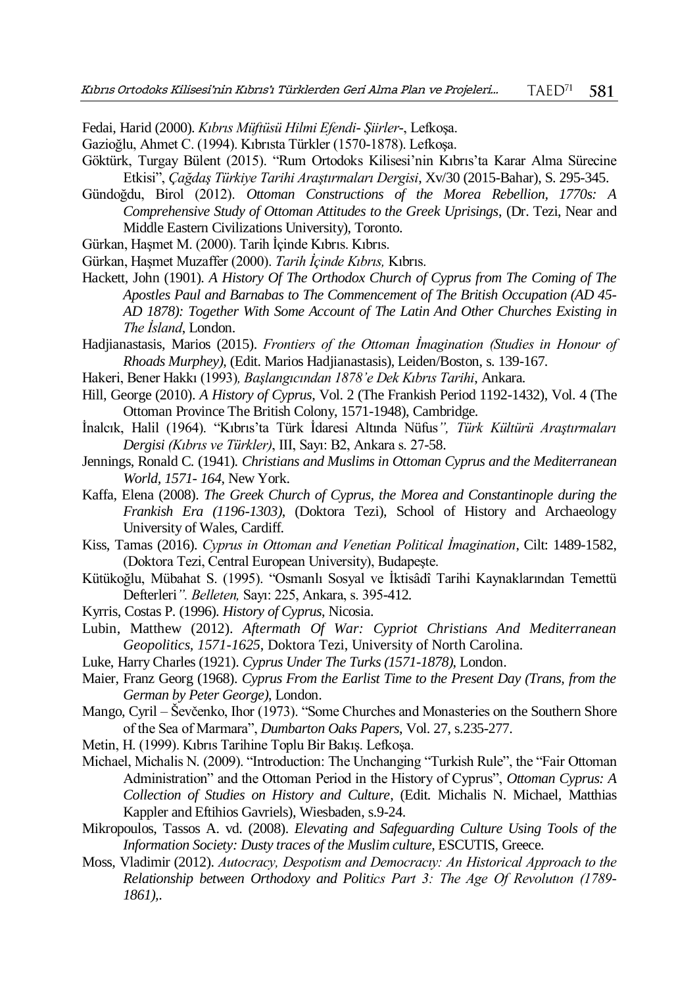Fedai, Harid (2000). *Kıbrıs Müftüsü Hilmi Efendi- Şiirler-*, Lefkoşa.

- Gazioğlu, Ahmet C. (1994). Kıbrısta Türkler (1570-1878). Lefkoşa.
- Göktürk, Turgay Bülent (2015). "Rum Ortodoks Kilisesi'nin Kıbrıs'ta Karar Alma Sürecine Etkisi", *Çağdaş Türkiye Tarihi Araştırmaları Dergisi*, Xv/30 (2015-Bahar), S. 295-345.
- Gündoğdu, Birol (2012). *Ottoman Constructions of the Morea Rebellion, 1770s: A Comprehensive Study of Ottoman Attitudes to the Greek Uprisings*, (Dr. Tezi, Near and Middle Eastern Civilizations University), Toronto.
- Gürkan, Haşmet M. (2000). Tarih İçinde Kıbrıs. Kıbrıs.
- Gürkan, Haşmet Muzaffer (2000). *Tarih İçinde Kıbrıs,* Kıbrıs.
- Hackett, John (1901). *A History Of The Orthodox Church of Cyprus from The Coming of The Apostles Paul and Barnabas to The Commencement of The British Occupation (AD 45- AD 1878): Together With Some Account of The Latin And Other Churches Existing in The İsland*, London.
- Hadjianastasis, Marios (2015). *Frontiers of the Ottoman İmagination (Studies in Honour of Rhoads Murphey)*, (Edit. Marios Hadjianastasis), Leiden/Boston, s. 139-167.
- Hakeri, Bener Hakkı (1993)*, Başlangıcından 1878'e Dek Kıbrıs Tarihi*, Ankara.
- Hill, George (2010). *A History of Cyprus*, Vol. 2 (The Frankish Period 1192-1432), Vol. 4 (The Ottoman Province The British Colony, 1571-1948), Cambridge.
- İnalcık, Halil (1964). "Kıbrıs'ta Türk İdaresi Altında Nüfus*", Türk Kültürü Araştırmaları Dergisi (Kıbrıs ve Türkler)*, III, Sayı: B2, Ankara s. 27-58.
- Jennings, Ronald C. (1941). *Christians and Muslims in Ottoman Cyprus and the Mediterranean World, 1571- 164*, New York.
- Kaffa, Elena (2008). *The Greek Church of Cyprus, the Morea and Constantinople during the Frankish Era (1196-1303)*, (Doktora Tezi), School of History and Archaeology University of Wales, Cardiff.
- Kiss, Tamas (2016). *Cyprus in Ottoman and Venetian Political İmagination*, Cilt: 1489-1582, (Doktora Tezi, Central European University), Budapeşte.
- Kütükoğlu, Mübahat S. (1995). "Osmanlı Sosyal ve İktisâdî Tarihi Kaynaklarından Temettü Defterleri*". Belleten,* Sayı: 225, Ankara, s. 395-412.
- Kyrris, Costas P. (1996). *History of Cyprus*, Nicosia.
- Lubin, Matthew (2012). *Aftermath Of War: Cypriot Christians And Mediterranean Geopolitics, 1571-1625*, Doktora Tezi, University of North Carolina.
- Luke, Harry Charles (1921). *Cyprus Under The Turks (1571-1878)*, London.
- Maier, Franz Georg (1968). *Cyprus From the Earlist Time to the Present Day (Trans, from the German by Peter George)*, London.
- Mango, Cyril Ševčenko, Ihor (1973). "Some Churches and Monasteries on the Southern Shore of the Sea of Marmara", *Dumbarton Oaks Papers*, Vol. 27, s.235-277.
- Metin, H. (1999). Kıbrıs Tarihine Toplu Bir Bakış. Lefkoşa.
- Michael, Michalis N. (2009). "Introduction: The Unchanging "Turkish Rule", the "Fair Ottoman Administration" and the Ottoman Period in the History of Cyprus", *Ottoman Cyprus: A Collection of Studies on History and Culture*, (Edit. Michalis N. Michael, Matthias Kappler and Eftihios Gavriels), Wiesbaden, s.9-24.
- Mikropoulos, Tassos A. vd. (2008). *Elevating and Safeguarding Culture Using Tools of the Information Society: Dusty traces of the Muslim culture*, ESCUTIS, Greece.
- Moss, Vladimir (2012). *Autocracy, Despotism and Democracıy: An Historical Approach to the Relationship between Orthodoxy and Politics Part 3: The Age Of Revolutıon (1789- 1861),*.